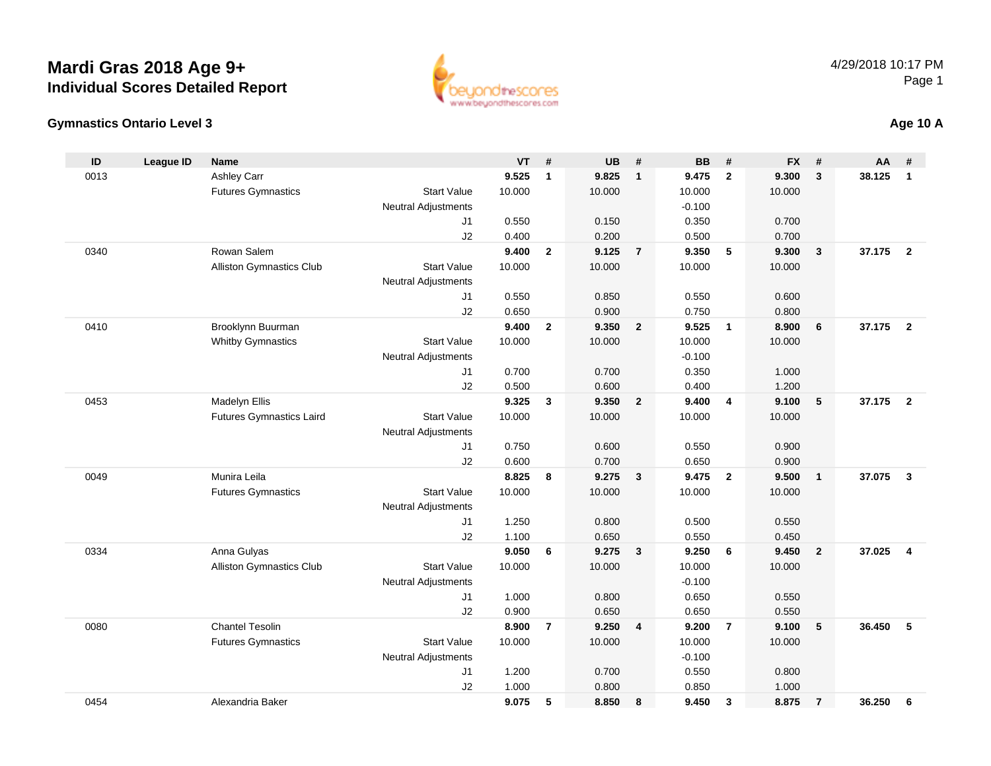#### **Gymnastics Ontario Level 3**

0454

| ID   | <b>League ID</b> | <b>Name</b>                     |                            | VT     | $\pmb{\#}$     | UB     | #                       | <b>BB</b> | #                       | <b>FX</b> | #                       | AA     | #                       |
|------|------------------|---------------------------------|----------------------------|--------|----------------|--------|-------------------------|-----------|-------------------------|-----------|-------------------------|--------|-------------------------|
| 0013 |                  | <b>Ashley Carr</b>              |                            | 9.525  | $\mathbf{1}$   | 9.825  | $\overline{1}$          | 9.475     | $\overline{2}$          | 9.300     | $\mathbf{3}$            | 38.125 | $\overline{1}$          |
|      |                  | <b>Futures Gymnastics</b>       | <b>Start Value</b>         | 10.000 |                | 10.000 |                         | 10.000    |                         | 10.000    |                         |        |                         |
|      |                  |                                 | <b>Neutral Adjustments</b> |        |                |        |                         | $-0.100$  |                         |           |                         |        |                         |
|      |                  |                                 | J1                         | 0.550  |                | 0.150  |                         | 0.350     |                         | 0.700     |                         |        |                         |
|      |                  |                                 | J2                         | 0.400  |                | 0.200  |                         | 0.500     |                         | 0.700     |                         |        |                         |
| 0340 |                  | Rowan Salem                     |                            | 9.400  | $\mathbf{2}$   | 9.125  | $\overline{7}$          | 9.350     | $5\phantom{.0}$         | 9.300     | $\overline{\mathbf{3}}$ | 37.175 | $\overline{\mathbf{2}}$ |
|      |                  | Alliston Gymnastics Club        | <b>Start Value</b>         | 10.000 |                | 10.000 |                         | 10.000    |                         | 10.000    |                         |        |                         |
|      |                  |                                 | <b>Neutral Adjustments</b> |        |                |        |                         |           |                         |           |                         |        |                         |
|      |                  |                                 | J1                         | 0.550  |                | 0.850  |                         | 0.550     |                         | 0.600     |                         |        |                         |
|      |                  |                                 | J2                         | 0.650  |                | 0.900  |                         | 0.750     |                         | 0.800     |                         |        |                         |
| 0410 |                  | Brooklynn Buurman               |                            | 9.400  | $\mathbf{2}$   | 9.350  | $\overline{2}$          | 9.525     | $\overline{\mathbf{1}}$ | 8.900     | 6                       | 37.175 | $\overline{2}$          |
|      |                  | <b>Whitby Gymnastics</b>        | <b>Start Value</b>         | 10.000 |                | 10.000 |                         | 10.000    |                         | 10.000    |                         |        |                         |
|      |                  |                                 | <b>Neutral Adjustments</b> |        |                |        |                         | $-0.100$  |                         |           |                         |        |                         |
|      |                  |                                 | J1                         | 0.700  |                | 0.700  |                         | 0.350     |                         | 1.000     |                         |        |                         |
|      |                  |                                 | J2                         | 0.500  |                | 0.600  |                         | 0.400     |                         | 1.200     |                         |        |                         |
| 0453 |                  | Madelyn Ellis                   |                            | 9.325  | 3              | 9.350  | $\overline{2}$          | 9.400     | $\overline{4}$          | 9.100     | 5                       | 37.175 | $\overline{2}$          |
|      |                  | <b>Futures Gymnastics Laird</b> | <b>Start Value</b>         | 10.000 |                | 10.000 |                         | 10.000    |                         | 10.000    |                         |        |                         |
|      |                  |                                 | <b>Neutral Adjustments</b> |        |                |        |                         |           |                         |           |                         |        |                         |
|      |                  |                                 | J1                         | 0.750  |                | 0.600  |                         | 0.550     |                         | 0.900     |                         |        |                         |
|      |                  |                                 | J2                         | 0.600  |                | 0.700  |                         | 0.650     |                         | 0.900     |                         |        |                         |
| 0049 |                  | Munira Leila                    |                            | 8.825  | 8              | 9.275  | $\mathbf{3}$            | 9.475     | $\overline{2}$          | 9.500     | $\overline{1}$          | 37.075 | $\overline{3}$          |
|      |                  | <b>Futures Gymnastics</b>       | <b>Start Value</b>         | 10.000 |                | 10.000 |                         | 10.000    |                         | 10.000    |                         |        |                         |
|      |                  |                                 | <b>Neutral Adjustments</b> |        |                |        |                         |           |                         |           |                         |        |                         |
|      |                  |                                 | J1                         | 1.250  |                | 0.800  |                         | 0.500     |                         | 0.550     |                         |        |                         |
|      |                  |                                 | J2                         | 1.100  |                | 0.650  |                         | 0.550     |                         | 0.450     |                         |        |                         |
| 0334 |                  | Anna Gulyas                     |                            | 9.050  | 6              | 9.275  | $\overline{\mathbf{3}}$ | 9.250     | 6                       | 9.450     | $\overline{2}$          | 37.025 | $\overline{4}$          |
|      |                  | Alliston Gymnastics Club        | <b>Start Value</b>         | 10.000 |                | 10.000 |                         | 10.000    |                         | 10.000    |                         |        |                         |
|      |                  |                                 | <b>Neutral Adjustments</b> |        |                |        |                         | $-0.100$  |                         |           |                         |        |                         |
|      |                  |                                 | J1                         | 1.000  |                | 0.800  |                         | 0.650     |                         | 0.550     |                         |        |                         |
|      |                  |                                 | J2                         | 0.900  |                | 0.650  |                         | 0.650     |                         | 0.550     |                         |        |                         |
| 0080 |                  | <b>Chantel Tesolin</b>          |                            | 8.900  | $\overline{7}$ | 9.250  | 4                       | 9.200     | $\overline{7}$          | 9.100     | 5                       | 36.450 | 5                       |
|      |                  | <b>Futures Gymnastics</b>       | <b>Start Value</b>         | 10.000 |                | 10.000 |                         | 10.000    |                         | 10.000    |                         |        |                         |
|      |                  |                                 | <b>Neutral Adjustments</b> |        |                |        |                         | $-0.100$  |                         |           |                         |        |                         |
|      |                  |                                 | J1                         | 1.200  |                | 0.700  |                         | 0.550     |                         | 0.800     |                         |        |                         |
|      |                  |                                 | J2                         | 1.000  |                | 0.800  |                         | 0.850     |                         | 1.000     |                         |        |                         |

Alexandria Baker **9.075 <sup>5</sup> 8.850 <sup>8</sup> 9.450 <sup>3</sup> 8.875 <sup>7</sup> 36.250 <sup>6</sup>**



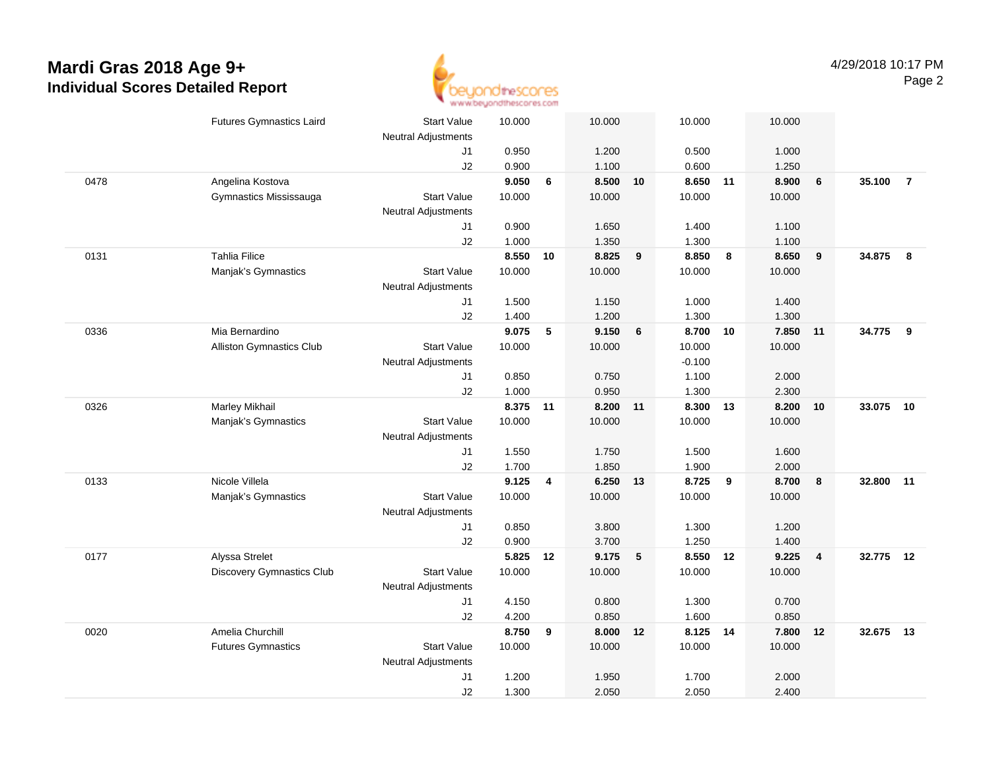

|      | <b>Futures Gymnastics Laird</b> | <b>Start Value</b><br>Neutral Adjustments | 10.000 |    | 10.000   |    | 10.000   |    | 10.000 |                |        |                |
|------|---------------------------------|-------------------------------------------|--------|----|----------|----|----------|----|--------|----------------|--------|----------------|
|      |                                 | J1                                        | 0.950  |    | 1.200    |    | 0.500    |    | 1.000  |                |        |                |
|      |                                 | J2                                        | 0.900  |    | 1.100    |    | 0.600    |    | 1.250  |                |        |                |
| 0478 | Angelina Kostova                |                                           | 9.050  | 6  | 8.500    | 10 | 8.650 11 |    | 8.900  | 6              | 35.100 | $\overline{7}$ |
|      | Gymnastics Mississauga          | <b>Start Value</b>                        | 10.000 |    | 10.000   |    | 10.000   |    | 10.000 |                |        |                |
|      |                                 | <b>Neutral Adjustments</b>                |        |    |          |    |          |    |        |                |        |                |
|      |                                 | J1                                        | 0.900  |    | 1.650    |    | 1.400    |    | 1.100  |                |        |                |
|      |                                 | J2                                        | 1.000  |    | 1.350    |    | 1.300    |    | 1.100  |                |        |                |
| 0131 | <b>Tahlia Filice</b>            |                                           | 8.550  | 10 | 8.825    | 9  | 8.850    | 8  | 8.650  | 9              | 34.875 | 8              |
|      | Manjak's Gymnastics             | <b>Start Value</b>                        | 10.000 |    | 10.000   |    | 10.000   |    | 10.000 |                |        |                |
|      |                                 | <b>Neutral Adjustments</b>                |        |    |          |    |          |    |        |                |        |                |
|      |                                 | J1                                        | 1.500  |    | 1.150    |    | 1.000    |    | 1.400  |                |        |                |
|      |                                 | J2                                        | 1.400  |    | 1.200    |    | 1.300    |    | 1.300  |                |        |                |
| 0336 | Mia Bernardino                  |                                           | 9.075  | 5  | 9.150    | 6  | 8.700    | 10 | 7.850  | 11             | 34.775 | 9              |
|      | <b>Alliston Gymnastics Club</b> | <b>Start Value</b>                        | 10.000 |    | 10.000   |    | 10.000   |    | 10.000 |                |        |                |
|      |                                 | <b>Neutral Adjustments</b>                |        |    |          |    | $-0.100$ |    |        |                |        |                |
|      |                                 | J1                                        | 0.850  |    | 0.750    |    | 1.100    |    | 2.000  |                |        |                |
|      |                                 | J2                                        | 1.000  |    | 0.950    |    | 1.300    |    | 2.300  |                |        |                |
| 0326 | Marley Mikhail                  |                                           | 8.375  | 11 | 8.200 11 |    | 8.300    | 13 | 8.200  | 10             | 33.075 | 10             |
|      | Manjak's Gymnastics             | <b>Start Value</b>                        | 10.000 |    | 10.000   |    | 10.000   |    | 10.000 |                |        |                |
|      |                                 | <b>Neutral Adjustments</b>                |        |    |          |    |          |    |        |                |        |                |
|      |                                 | J1                                        | 1.550  |    | 1.750    |    | 1.500    |    | 1.600  |                |        |                |
|      |                                 | J2                                        | 1.700  |    | 1.850    |    | 1.900    |    | 2.000  |                |        |                |
| 0133 | Nicole Villela                  |                                           | 9.125  | 4  | 6.250 13 |    | 8.725    | 9  | 8.700  | 8              | 32.800 | 11             |
|      | Manjak's Gymnastics             | <b>Start Value</b>                        | 10.000 |    | 10.000   |    | 10.000   |    | 10.000 |                |        |                |
|      |                                 | <b>Neutral Adjustments</b>                |        |    |          |    |          |    |        |                |        |                |
|      |                                 | J1                                        | 0.850  |    | 3.800    |    | 1.300    |    | 1.200  |                |        |                |
|      |                                 | J2                                        | 0.900  |    | 3.700    |    | 1.250    |    | 1.400  |                |        |                |
| 0177 | Alyssa Strelet                  |                                           | 5.825  | 12 | 9.175    | 5  | 8.550    | 12 | 9.225  | $\overline{4}$ | 32.775 | 12             |
|      | Discovery Gymnastics Club       | <b>Start Value</b>                        | 10.000 |    | 10.000   |    | 10.000   |    | 10.000 |                |        |                |
|      |                                 | Neutral Adjustments                       |        |    |          |    |          |    |        |                |        |                |
|      |                                 | J1                                        | 4.150  |    | 0.800    |    | 1.300    |    | 0.700  |                |        |                |
|      |                                 | J2                                        | 4.200  |    | 0.850    |    | 1.600    |    | 0.850  |                |        |                |
| 0020 | Amelia Churchill                |                                           | 8.750  | 9  | 8.000    | 12 | 8.125    | 14 | 7.800  | 12             | 32.675 | 13             |
|      | <b>Futures Gymnastics</b>       | <b>Start Value</b>                        | 10.000 |    | 10.000   |    | 10.000   |    | 10.000 |                |        |                |
|      |                                 | Neutral Adjustments                       |        |    |          |    |          |    |        |                |        |                |
|      |                                 | J1                                        | 1.200  |    | 1.950    |    | 1.700    |    | 2.000  |                |        |                |
|      |                                 | J2                                        | 1.300  |    | 2.050    |    | 2.050    |    | 2.400  |                |        |                |
|      |                                 |                                           |        |    |          |    |          |    |        |                |        |                |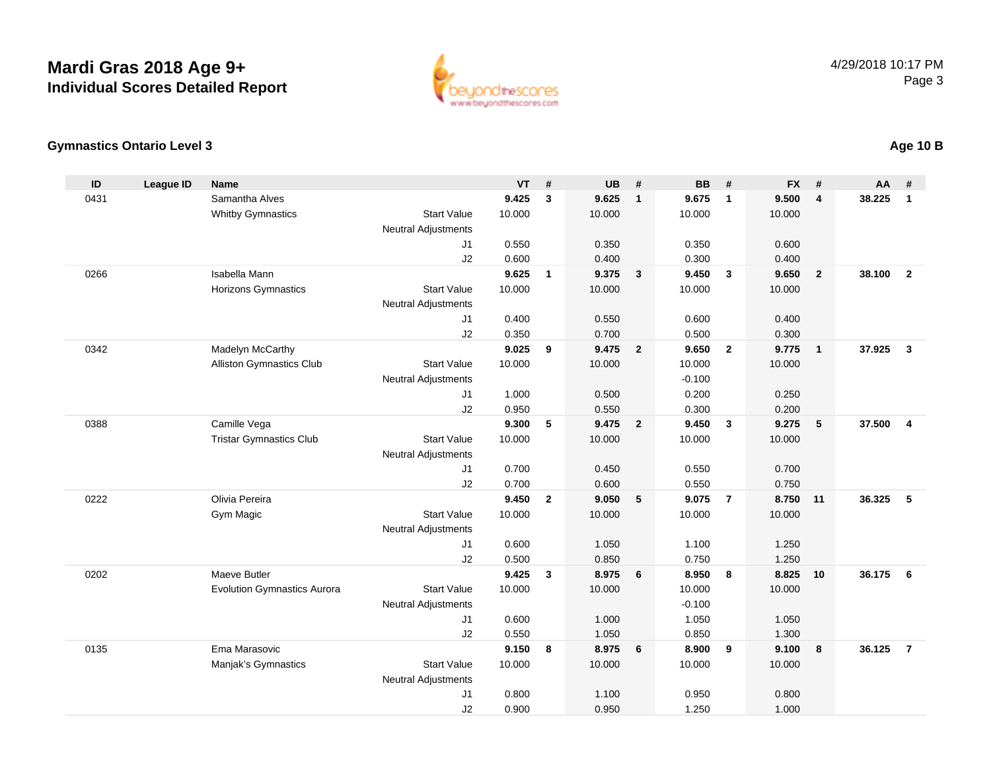

### **Gymnastics Ontario Level 3**

| ID   | <b>League ID</b> | <b>Name</b>                                  |                            | <b>VT</b>       | #              | <b>UB</b>       | #                       | <b>BB</b>       | #                       | <b>FX</b>       | #                       | AA     | #              |
|------|------------------|----------------------------------------------|----------------------------|-----------------|----------------|-----------------|-------------------------|-----------------|-------------------------|-----------------|-------------------------|--------|----------------|
| 0431 |                  | Samantha Alves                               |                            | 9.425           | $\mathbf{3}$   | 9.625           | $\mathbf{1}$            | 9.675           | $\mathbf{1}$            | 9.500           | $\overline{\mathbf{4}}$ | 38.225 | $\mathbf{1}$   |
|      |                  | Whitby Gymnastics                            | <b>Start Value</b>         | 10.000          |                | 10.000          |                         | 10.000          |                         | 10.000          |                         |        |                |
|      |                  |                                              | <b>Neutral Adjustments</b> |                 |                |                 |                         |                 |                         |                 |                         |        |                |
|      |                  |                                              | J <sub>1</sub>             | 0.550           |                | 0.350           |                         | 0.350           |                         | 0.600           |                         |        |                |
|      |                  |                                              | J2                         | 0.600           |                | 0.400           |                         | 0.300           |                         | 0.400           |                         |        |                |
| 0266 |                  | Isabella Mann                                |                            | 9.625           | $\overline{1}$ | 9.375           | $\overline{\mathbf{3}}$ | 9.450           | $\overline{\mathbf{3}}$ | 9.650           | $\overline{2}$          | 38.100 | $\overline{2}$ |
|      |                  | <b>Horizons Gymnastics</b>                   | <b>Start Value</b>         | 10.000          |                | 10.000          |                         | 10.000          |                         | 10.000          |                         |        |                |
|      |                  |                                              | <b>Neutral Adjustments</b> |                 |                |                 |                         |                 |                         |                 |                         |        |                |
|      |                  |                                              | J <sub>1</sub>             | 0.400           |                | 0.550           |                         | 0.600           |                         | 0.400           |                         |        |                |
| 0342 |                  |                                              | J2                         | 0.350           |                | 0.700           | $\overline{2}$          | 0.500           |                         | 0.300           |                         | 37.925 |                |
|      |                  | Madelyn McCarthy<br>Alliston Gymnastics Club | <b>Start Value</b>         | 9.025<br>10.000 | 9              | 9.475<br>10.000 |                         | 9.650<br>10.000 | $\overline{2}$          | 9.775<br>10.000 | $\overline{1}$          |        | $\mathbf{3}$   |
|      |                  |                                              | <b>Neutral Adjustments</b> |                 |                |                 |                         | $-0.100$        |                         |                 |                         |        |                |
|      |                  |                                              | J <sub>1</sub>             | 1.000           |                | 0.500           |                         | 0.200           |                         | 0.250           |                         |        |                |
|      |                  |                                              | J <sub>2</sub>             | 0.950           |                | 0.550           |                         | 0.300           |                         | 0.200           |                         |        |                |
| 0388 |                  | Camille Vega                                 |                            | 9.300           | 5              | 9.475           | $\overline{\mathbf{2}}$ | 9.450           | $\mathbf{3}$            | 9.275           | $\sqrt{5}$              | 37.500 | $\overline{4}$ |
|      |                  | <b>Tristar Gymnastics Club</b>               | <b>Start Value</b>         | 10.000          |                | 10.000          |                         | 10.000          |                         | 10.000          |                         |        |                |
|      |                  |                                              | <b>Neutral Adjustments</b> |                 |                |                 |                         |                 |                         |                 |                         |        |                |
|      |                  |                                              | J <sub>1</sub>             | 0.700           |                | 0.450           |                         | 0.550           |                         | 0.700           |                         |        |                |
|      |                  |                                              | J2                         | 0.700           |                | 0.600           |                         | 0.550           |                         | 0.750           |                         |        |                |
| 0222 |                  | Olivia Pereira                               |                            | 9.450           | $\overline{2}$ | 9.050           | 5                       | 9.075           | $\overline{7}$          | 8.750           | 11                      | 36.325 | 5              |
|      |                  | Gym Magic                                    | <b>Start Value</b>         | 10.000          |                | 10.000          |                         | 10.000          |                         | 10.000          |                         |        |                |
|      |                  |                                              | <b>Neutral Adjustments</b> |                 |                |                 |                         |                 |                         |                 |                         |        |                |
|      |                  |                                              | J1                         | 0.600           |                | 1.050           |                         | 1.100           |                         | 1.250           |                         |        |                |
|      |                  |                                              | J2                         | 0.500           |                | 0.850           |                         | 0.750           |                         | 1.250           |                         |        |                |
| 0202 |                  | Maeve Butler                                 |                            | 9.425           | $\mathbf{3}$   | 8.975           | 6                       | 8.950           | 8                       | 8.825           | 10                      | 36.175 | - 6            |
|      |                  | <b>Evolution Gymnastics Aurora</b>           | <b>Start Value</b>         | 10.000          |                | 10.000          |                         | 10.000          |                         | 10.000          |                         |        |                |
|      |                  |                                              | <b>Neutral Adjustments</b> |                 |                |                 |                         | $-0.100$        |                         |                 |                         |        |                |
|      |                  |                                              | J1                         | 0.600           |                | 1.000           |                         | 1.050           |                         | 1.050           |                         |        |                |
| 0135 |                  | Ema Marasovic                                | J2                         | 0.550<br>9.150  | 8              | 1.050<br>8.975  | 6                       | 0.850<br>8.900  | 9                       | 1.300<br>9.100  | 8                       | 36.125 | $\overline{7}$ |
|      |                  | Manjak's Gymnastics                          | <b>Start Value</b>         | 10.000          |                | 10.000          |                         | 10.000          |                         | 10.000          |                         |        |                |
|      |                  |                                              | <b>Neutral Adjustments</b> |                 |                |                 |                         |                 |                         |                 |                         |        |                |
|      |                  |                                              | J <sub>1</sub>             | 0.800           |                | 1.100           |                         | 0.950           |                         | 0.800           |                         |        |                |
|      |                  |                                              | J2                         | 0.900           |                | 0.950           |                         | 1.250           |                         | 1.000           |                         |        |                |
|      |                  |                                              |                            |                 |                |                 |                         |                 |                         |                 |                         |        |                |

### **Age 10 B**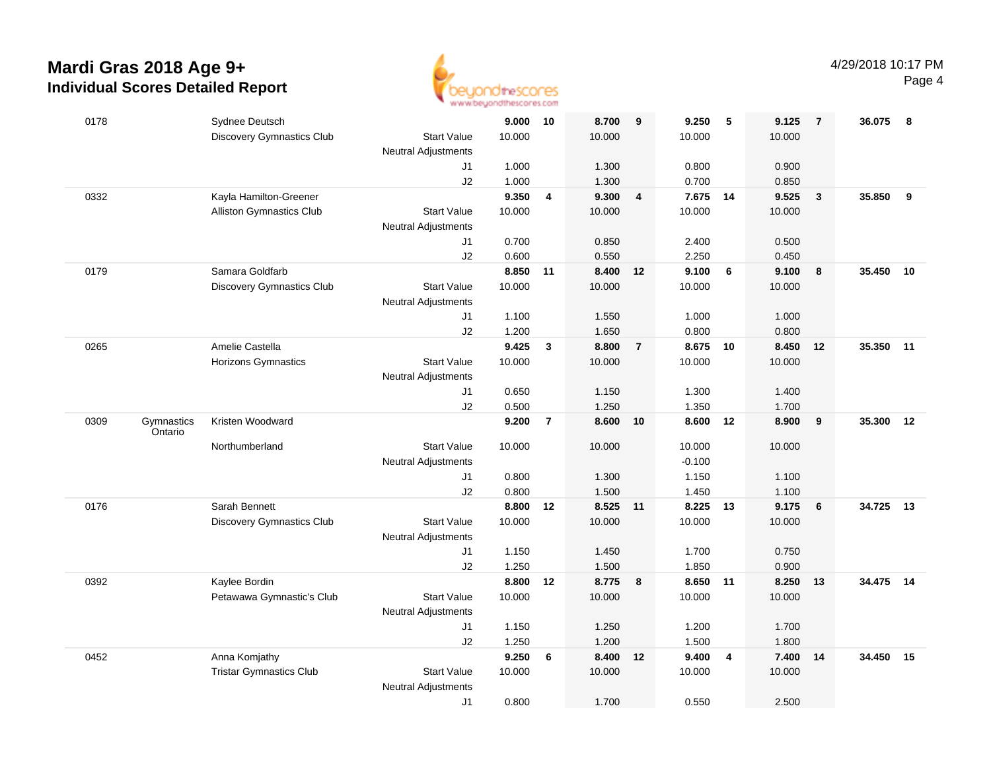

| 0178                          | Sydnee Deutsch                   |                                                  | 9.000 10 |                | 8.700    | 9                       | 9.250    | 5  | 9.125  | $\overline{7}$ | 36.075    | -8 |
|-------------------------------|----------------------------------|--------------------------------------------------|----------|----------------|----------|-------------------------|----------|----|--------|----------------|-----------|----|
|                               | Discovery Gymnastics Club        | <b>Start Value</b>                               | 10.000   |                | 10.000   |                         | 10.000   |    | 10.000 |                |           |    |
|                               |                                  | <b>Neutral Adjustments</b>                       |          |                |          |                         |          |    |        |                |           |    |
|                               |                                  | J1                                               | 1.000    |                | 1.300    |                         | 0.800    |    | 0.900  |                |           |    |
|                               |                                  | J2                                               | 1.000    |                | 1.300    |                         | 0.700    |    | 0.850  |                |           |    |
| 0332                          | Kayla Hamilton-Greener           |                                                  | 9.350    | 4              | 9.300    | $\overline{4}$          | 7.675 14 |    | 9.525  | $\mathbf{3}$   | 35.850    | 9  |
|                               | Alliston Gymnastics Club         | <b>Start Value</b>                               | 10.000   |                | 10.000   |                         | 10.000   |    | 10.000 |                |           |    |
|                               |                                  | <b>Neutral Adjustments</b><br>J1                 | 0.700    |                | 0.850    |                         | 2.400    |    | 0.500  |                |           |    |
|                               |                                  | J2                                               | 0.600    |                | 0.550    |                         | 2.250    |    | 0.450  |                |           |    |
| 0179                          | Samara Goldfarb                  |                                                  | 8.850    | 11             | 8.400    | 12                      | 9.100    | 6  | 9.100  | 8              | 35.450    | 10 |
|                               | <b>Discovery Gymnastics Club</b> | <b>Start Value</b>                               | 10.000   |                | 10.000   |                         | 10.000   |    | 10.000 |                |           |    |
|                               |                                  | <b>Neutral Adjustments</b>                       |          |                |          |                         |          |    |        |                |           |    |
|                               |                                  | J1                                               | 1.100    |                | 1.550    |                         | 1.000    |    | 1.000  |                |           |    |
|                               |                                  | J2                                               | 1.200    |                | 1.650    |                         | 0.800    |    | 0.800  |                |           |    |
| 0265                          | Amelie Castella                  |                                                  | 9.425    | 3              | 8.800    | $\overline{7}$          | 8.675 10 |    | 8.450  | 12             | 35.350    | 11 |
|                               | <b>Horizons Gymnastics</b>       | <b>Start Value</b>                               | 10.000   |                | 10.000   |                         | 10.000   |    | 10.000 |                |           |    |
|                               |                                  | <b>Neutral Adjustments</b>                       |          |                |          |                         |          |    |        |                |           |    |
|                               |                                  | J1                                               | 0.650    |                | 1.150    |                         | 1.300    |    | 1.400  |                |           |    |
|                               |                                  | J2                                               | 0.500    |                | 1.250    |                         | 1.350    |    | 1.700  |                |           |    |
| 0309<br>Gymnastics<br>Ontario | Kristen Woodward                 |                                                  | 9.200    | $\overline{7}$ | 8.600    | 10                      | 8.600    | 12 | 8.900  | 9              | 35.300    | 12 |
|                               | Northumberland                   | <b>Start Value</b>                               | 10.000   |                | 10.000   |                         | 10.000   |    | 10.000 |                |           |    |
|                               |                                  | <b>Neutral Adjustments</b>                       |          |                |          |                         | $-0.100$ |    |        |                |           |    |
|                               |                                  | J1                                               | 0.800    |                | 1.300    |                         | 1.150    |    | 1.100  |                |           |    |
|                               |                                  | J2                                               | 0.800    |                | 1.500    |                         | 1.450    |    | 1.100  |                |           |    |
| 0176                          | Sarah Bennett                    |                                                  | 8.800    | 12             | 8.525 11 |                         | 8.225    | 13 | 9.175  | 6              | 34.725    | 13 |
|                               | <b>Discovery Gymnastics Club</b> | <b>Start Value</b><br><b>Neutral Adjustments</b> | 10.000   |                | 10.000   |                         | 10.000   |    | 10.000 |                |           |    |
|                               |                                  | J1                                               | 1.150    |                | 1.450    |                         | 1.700    |    | 0.750  |                |           |    |
|                               |                                  | J2                                               | 1.250    |                | 1.500    |                         | 1.850    |    | 0.900  |                |           |    |
| 0392                          | Kaylee Bordin                    |                                                  | 8.800    | 12             | 8.775    | $\overline{\mathbf{8}}$ | 8.650 11 |    | 8.250  | 13             | 34.475 14 |    |
|                               | Petawawa Gymnastic's Club        | <b>Start Value</b>                               | 10.000   |                | 10.000   |                         | 10.000   |    | 10.000 |                |           |    |
|                               |                                  | <b>Neutral Adjustments</b>                       |          |                |          |                         |          |    |        |                |           |    |
|                               |                                  | J1                                               | 1.150    |                | 1.250    |                         | 1.200    |    | 1.700  |                |           |    |
|                               |                                  | J2                                               | 1.250    |                | 1.200    |                         | 1.500    |    | 1.800  |                |           |    |
| 0452                          | Anna Komjathy                    |                                                  | 9.250    | 6              | 8.400    | 12                      | 9.400    | 4  | 7.400  | 14             | 34.450    | 15 |
|                               | <b>Tristar Gymnastics Club</b>   | <b>Start Value</b><br><b>Neutral Adjustments</b> | 10.000   |                | 10.000   |                         | 10.000   |    | 10.000 |                |           |    |
|                               |                                  | J1                                               | 0.800    |                | 1.700    |                         | 0.550    |    | 2.500  |                |           |    |
|                               |                                  |                                                  |          |                |          |                         |          |    |        |                |           |    |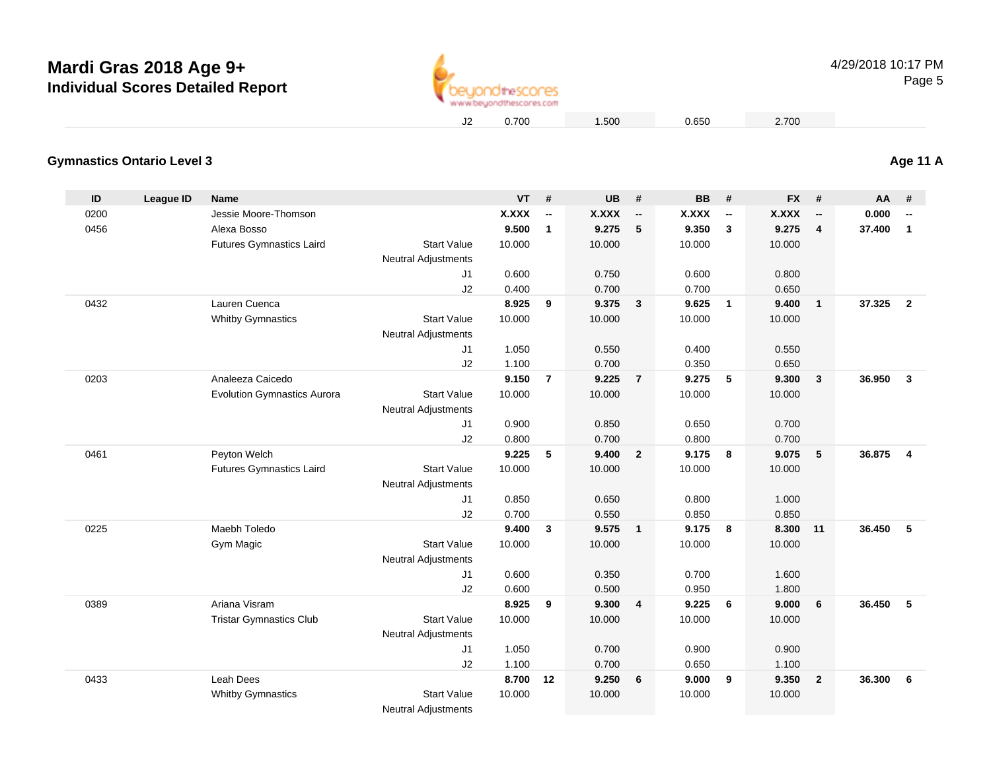

0.700 1.500 0.650 2.700

### **Gymnastics Ontario Level 3**

| ID   | <b>League ID</b> | Name                               |                            | <b>VT</b> | #                        | <b>UB</b>    | #                          | <b>BB</b>    | #                        | <b>FX</b>    | #                        | AA     | #                       |
|------|------------------|------------------------------------|----------------------------|-----------|--------------------------|--------------|----------------------------|--------------|--------------------------|--------------|--------------------------|--------|-------------------------|
| 0200 |                  | Jessie Moore-Thomson               |                            | X.XXX     | $\overline{\phantom{a}}$ | <b>X.XXX</b> | $\overline{\phantom{a}}$   | <b>X.XXX</b> | $\overline{\phantom{a}}$ | <b>X.XXX</b> | $\overline{\phantom{a}}$ | 0.000  | --                      |
| 0456 |                  | Alexa Bosso                        |                            | 9.500     | $\mathbf{1}$             | 9.275        | 5                          | 9.350        | $\mathbf{3}$             | 9.275        | $\overline{4}$           | 37.400 | $\mathbf{1}$            |
|      |                  | <b>Futures Gymnastics Laird</b>    | <b>Start Value</b>         | 10.000    |                          | 10.000       |                            | 10.000       |                          | 10.000       |                          |        |                         |
|      |                  |                                    | <b>Neutral Adjustments</b> |           |                          |              |                            |              |                          |              |                          |        |                         |
|      |                  |                                    | J1                         | 0.600     |                          | 0.750        |                            | 0.600        |                          | 0.800        |                          |        |                         |
|      |                  |                                    | J2                         | 0.400     |                          | 0.700        |                            | 0.700        |                          | 0.650        |                          |        |                         |
| 0432 |                  | Lauren Cuenca                      |                            | 8.925     | 9                        | 9.375        | $\overline{\mathbf{3}}$    | 9.625        | $\overline{1}$           | 9.400        | $\mathbf{1}$             | 37.325 | $\overline{2}$          |
|      |                  | <b>Whitby Gymnastics</b>           | <b>Start Value</b>         | 10.000    |                          | 10.000       |                            | 10.000       |                          | 10.000       |                          |        |                         |
|      |                  |                                    | <b>Neutral Adjustments</b> |           |                          |              |                            |              |                          |              |                          |        |                         |
|      |                  |                                    | J1                         | 1.050     |                          | 0.550        |                            | 0.400        |                          | 0.550        |                          |        |                         |
|      |                  |                                    | J2                         | 1.100     |                          | 0.700        |                            | 0.350        |                          | 0.650        |                          |        |                         |
| 0203 |                  | Analeeza Caicedo                   |                            | 9.150     | $\overline{7}$           | 9.225        | $\overline{7}$             | 9.275        | 5                        | 9.300        | $\overline{3}$           | 36.950 | $\overline{\mathbf{3}}$ |
|      |                  | <b>Evolution Gymnastics Aurora</b> | <b>Start Value</b>         | 10.000    |                          | 10.000       |                            | 10.000       |                          | 10.000       |                          |        |                         |
|      |                  |                                    | <b>Neutral Adjustments</b> |           |                          |              |                            |              |                          |              |                          |        |                         |
|      |                  |                                    | J1                         | 0.900     |                          | 0.850        |                            | 0.650        |                          | 0.700        |                          |        |                         |
|      |                  |                                    | J2                         | 0.800     |                          | 0.700        |                            | 0.800        |                          | 0.700        |                          |        |                         |
| 0461 |                  | Peyton Welch                       |                            | 9.225     | 5                        | 9.400        | $\overline{2}$             | 9.175        | 8                        | 9.075        | 5                        | 36.875 | 4                       |
|      |                  | <b>Futures Gymnastics Laird</b>    | <b>Start Value</b>         | 10.000    |                          | 10.000       |                            | 10.000       |                          | 10.000       |                          |        |                         |
|      |                  |                                    | <b>Neutral Adjustments</b> |           |                          |              |                            |              |                          |              |                          |        |                         |
|      |                  |                                    | J1                         | 0.850     |                          | 0.650        |                            | 0.800        |                          | 1.000        |                          |        |                         |
|      |                  |                                    | J2                         | 0.700     |                          | 0.550        |                            | 0.850        |                          | 0.850        |                          |        |                         |
| 0225 |                  | Maebh Toledo                       |                            | 9.400     | $\mathbf{3}$             | 9.575        | $\overline{\phantom{0}}$ 1 | 9.175        | $\overline{\mathbf{8}}$  | 8.300        | 11                       | 36.450 | 5                       |
|      |                  | Gym Magic                          | <b>Start Value</b>         | 10.000    |                          | 10.000       |                            | 10.000       |                          | 10.000       |                          |        |                         |
|      |                  |                                    | <b>Neutral Adjustments</b> |           |                          |              |                            |              |                          |              |                          |        |                         |
|      |                  |                                    | J1                         | 0.600     |                          | 0.350        |                            | 0.700        |                          | 1.600        |                          |        |                         |
|      |                  |                                    | J2                         | 0.600     |                          | 0.500        |                            | 0.950        |                          | 1.800        |                          |        |                         |
| 0389 |                  | Ariana Visram                      |                            | 8.925     | 9                        | 9.300        | $\overline{4}$             | 9.225        | 6                        | 9.000        | 6                        | 36.450 | 5                       |
|      |                  | <b>Tristar Gymnastics Club</b>     | <b>Start Value</b>         | 10.000    |                          | 10.000       |                            | 10.000       |                          | 10.000       |                          |        |                         |
|      |                  |                                    | <b>Neutral Adjustments</b> |           |                          |              |                            |              |                          |              |                          |        |                         |
|      |                  |                                    | J1                         | 1.050     |                          | 0.700        |                            | 0.900        |                          | 0.900        |                          |        |                         |
|      |                  |                                    | J2                         | 1.100     |                          | 0.700        |                            | 0.650        |                          | 1.100        |                          |        |                         |
| 0433 |                  | Leah Dees                          |                            | 8.700     | 12                       | 9.250        | 6                          | 9.000        | 9                        | 9.350        | $\overline{2}$           | 36.300 | 6                       |
|      |                  | <b>Whitby Gymnastics</b>           | <b>Start Value</b>         | 10.000    |                          | 10.000       |                            | 10.000       |                          | 10.000       |                          |        |                         |
|      |                  |                                    | <b>Neutral Adjustments</b> |           |                          |              |                            |              |                          |              |                          |        |                         |

**Age 11 A**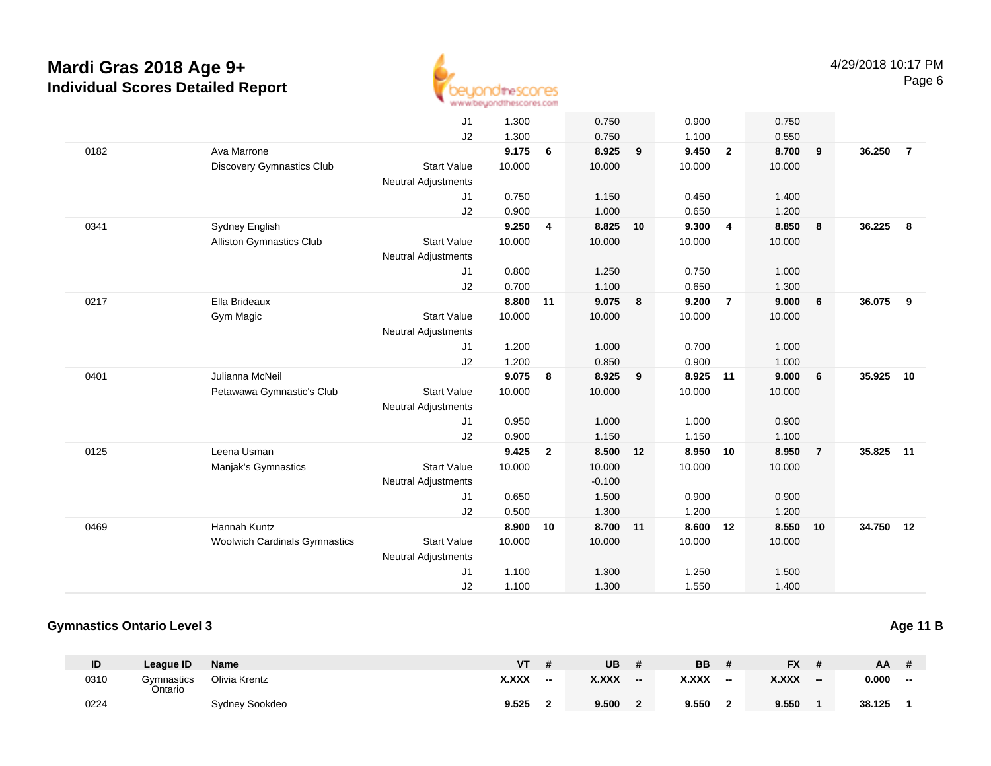

|      |                                      | J <sub>1</sub>             | 1.300  |                | 0.750    |    | 0.900  |                         | 0.750  |                |           |                |
|------|--------------------------------------|----------------------------|--------|----------------|----------|----|--------|-------------------------|--------|----------------|-----------|----------------|
|      |                                      | J2                         | 1.300  |                | 0.750    |    | 1.100  |                         | 0.550  |                |           |                |
| 0182 | Ava Marrone                          |                            | 9.175  | 6              | 8.925    | 9  | 9.450  | $\overline{2}$          | 8.700  | 9              | 36.250    | $\overline{7}$ |
|      | Discovery Gymnastics Club            | <b>Start Value</b>         | 10.000 |                | 10.000   |    | 10.000 |                         | 10.000 |                |           |                |
|      |                                      | <b>Neutral Adjustments</b> |        |                |          |    |        |                         |        |                |           |                |
|      |                                      | J1                         | 0.750  |                | 1.150    |    | 0.450  |                         | 1.400  |                |           |                |
|      |                                      | J2                         | 0.900  |                | 1.000    |    | 0.650  |                         | 1.200  |                |           |                |
| 0341 | Sydney English                       |                            | 9.250  | 4              | 8.825    | 10 | 9.300  | $\overline{\mathbf{4}}$ | 8.850  | 8              | 36.225    | 8              |
|      | <b>Alliston Gymnastics Club</b>      | <b>Start Value</b>         | 10.000 |                | 10.000   |    | 10.000 |                         | 10.000 |                |           |                |
|      |                                      | Neutral Adjustments        |        |                |          |    |        |                         |        |                |           |                |
|      |                                      | J1                         | 0.800  |                | 1.250    |    | 0.750  |                         | 1.000  |                |           |                |
|      |                                      | J <sub>2</sub>             | 0.700  |                | 1.100    |    | 0.650  |                         | 1.300  |                |           |                |
| 0217 | Ella Brideaux                        |                            | 8.800  | 11             | 9.075    | 8  | 9.200  | $\overline{7}$          | 9.000  | 6              | 36.075    | 9              |
|      | Gym Magic                            | <b>Start Value</b>         | 10.000 |                | 10.000   |    | 10.000 |                         | 10.000 |                |           |                |
|      |                                      | Neutral Adjustments        |        |                |          |    |        |                         |        |                |           |                |
|      |                                      | J <sub>1</sub>             | 1.200  |                | 1.000    |    | 0.700  |                         | 1.000  |                |           |                |
|      |                                      | J2                         | 1.200  |                | 0.850    |    | 0.900  |                         | 1.000  |                |           |                |
| 0401 | Julianna McNeil                      |                            | 9.075  | 8              | 8.925    | 9  | 8.925  | 11                      | 9.000  | 6              | 35.925    | 10             |
|      | Petawawa Gymnastic's Club            | <b>Start Value</b>         | 10.000 |                | 10.000   |    | 10.000 |                         | 10.000 |                |           |                |
|      |                                      | <b>Neutral Adjustments</b> |        |                |          |    |        |                         |        |                |           |                |
|      |                                      | J1                         | 0.950  |                | 1.000    |    | 1.000  |                         | 0.900  |                |           |                |
|      |                                      | J2                         | 0.900  |                | 1.150    |    | 1.150  |                         | 1.100  |                |           |                |
| 0125 | Leena Usman                          |                            | 9.425  | $\overline{2}$ | 8.500    | 12 | 8.950  | 10                      | 8.950  | $\overline{7}$ | 35.825    | 11             |
|      | Manjak's Gymnastics                  | <b>Start Value</b>         | 10.000 |                | 10.000   |    | 10.000 |                         | 10.000 |                |           |                |
|      |                                      | <b>Neutral Adjustments</b> |        |                | $-0.100$ |    |        |                         |        |                |           |                |
|      |                                      | J1                         | 0.650  |                | 1.500    |    | 0.900  |                         | 0.900  |                |           |                |
|      |                                      | J2                         | 0.500  |                | 1.300    |    | 1.200  |                         | 1.200  |                |           |                |
| 0469 | Hannah Kuntz                         |                            | 8.900  | 10             | 8.700    | 11 | 8.600  | 12                      | 8.550  | 10             | 34.750 12 |                |
|      | <b>Woolwich Cardinals Gymnastics</b> | <b>Start Value</b>         | 10.000 |                | 10.000   |    | 10.000 |                         | 10.000 |                |           |                |
|      |                                      | <b>Neutral Adjustments</b> |        |                |          |    |        |                         |        |                |           |                |
|      |                                      | J1                         | 1.100  |                | 1.300    |    | 1.250  |                         | 1.500  |                |           |                |
|      |                                      | J2                         | 1.100  |                | 1.300    |    | 1.550  |                         | 1.400  |                |           |                |

### **Gymnastics Ontario Level 3**

| ID   | League ID             | <b>Name</b>    | ۷T    |       | <b>UB</b>    |                 | BB           |       | <b>FX</b>    |    | AA.    |     |
|------|-----------------------|----------------|-------|-------|--------------|-----------------|--------------|-------|--------------|----|--------|-----|
| 0310 | Gymnastics<br>Ontario | Olivia Krentz  | X.XXX | $- -$ | <b>X.XXX</b> | $\qquad \qquad$ | <b>X.XXX</b> | $- -$ | <b>X.XXX</b> | -- | 0.000  | $-$ |
| 0224 |                       | Sydney Sookdeo | 9.525 |       | 9.500        |                 | 9.550        |       | 9.550        |    | 38.125 |     |

**Age 11 B**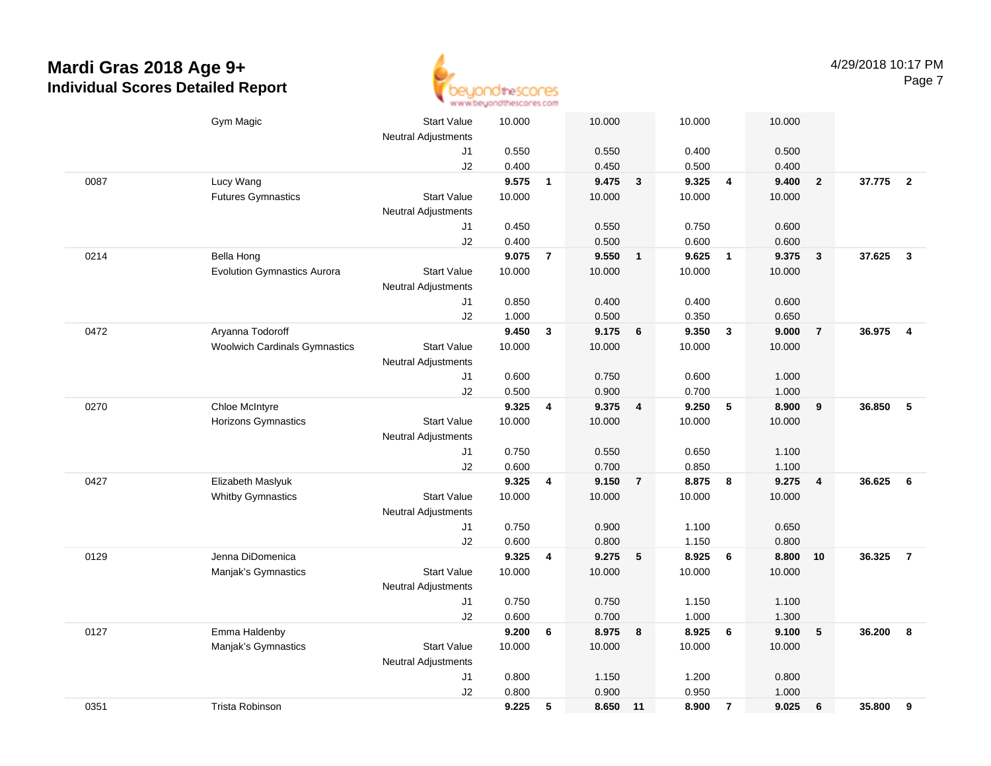

|      | Gym Magic                            | <b>Start Value</b><br><b>Neutral Adjustments</b> | 10.000 |                | 10.000   |                         | 10.000 |                          | 10.000 |                         |        |                         |
|------|--------------------------------------|--------------------------------------------------|--------|----------------|----------|-------------------------|--------|--------------------------|--------|-------------------------|--------|-------------------------|
|      |                                      | J1                                               | 0.550  |                | 0.550    |                         | 0.400  |                          | 0.500  |                         |        |                         |
|      |                                      | J2                                               | 0.400  |                | 0.450    |                         | 0.500  |                          | 0.400  |                         |        |                         |
| 0087 | Lucy Wang                            |                                                  | 9.575  | $\overline{1}$ | 9.475    | $\mathbf{3}$            | 9.325  | $\overline{4}$           | 9.400  | $\overline{2}$          | 37.775 | $\overline{\mathbf{2}}$ |
|      | <b>Futures Gymnastics</b>            | <b>Start Value</b>                               | 10.000 |                | 10.000   |                         | 10.000 |                          | 10.000 |                         |        |                         |
|      |                                      | <b>Neutral Adjustments</b>                       |        |                |          |                         |        |                          |        |                         |        |                         |
|      |                                      | J1                                               | 0.450  |                | 0.550    |                         | 0.750  |                          | 0.600  |                         |        |                         |
|      |                                      | J2                                               | 0.400  |                | 0.500    |                         | 0.600  |                          | 0.600  |                         |        |                         |
| 0214 | <b>Bella Hong</b>                    |                                                  | 9.075  | $\overline{7}$ | 9.550    | $\mathbf{1}$            | 9.625  | $\overline{1}$           | 9.375  | $\overline{\mathbf{3}}$ | 37.625 | $\overline{\mathbf{3}}$ |
|      | <b>Evolution Gymnastics Aurora</b>   | <b>Start Value</b>                               | 10.000 |                | 10.000   |                         | 10.000 |                          | 10.000 |                         |        |                         |
|      |                                      | <b>Neutral Adjustments</b>                       |        |                |          |                         |        |                          |        |                         |        |                         |
|      |                                      | J1                                               | 0.850  |                | 0.400    |                         | 0.400  |                          | 0.600  |                         |        |                         |
|      |                                      | J2                                               | 1.000  |                | 0.500    |                         | 0.350  |                          | 0.650  |                         |        |                         |
| 0472 | Aryanna Todoroff                     |                                                  | 9.450  | $\mathbf{3}$   | 9.175    | 6                       | 9.350  | $\mathbf{3}$             | 9.000  | $\overline{7}$          | 36.975 | $\overline{4}$          |
|      | <b>Woolwich Cardinals Gymnastics</b> | <b>Start Value</b>                               | 10.000 |                | 10.000   |                         | 10.000 |                          | 10.000 |                         |        |                         |
|      |                                      | <b>Neutral Adjustments</b>                       |        |                |          |                         |        |                          |        |                         |        |                         |
|      |                                      | J1                                               | 0.600  |                | 0.750    |                         | 0.600  |                          | 1.000  |                         |        |                         |
|      |                                      | J2                                               | 0.500  |                | 0.900    |                         | 0.700  |                          | 1.000  |                         |        |                         |
| 0270 | Chloe McIntyre                       |                                                  | 9.325  | 4              | 9.375    | $\overline{\mathbf{4}}$ | 9.250  | $\overline{\phantom{0}}$ | 8.900  | 9                       | 36.850 | 5                       |
|      | Horizons Gymnastics                  | <b>Start Value</b>                               | 10.000 |                | 10.000   |                         | 10.000 |                          | 10.000 |                         |        |                         |
|      |                                      | <b>Neutral Adjustments</b>                       |        |                |          |                         |        |                          |        |                         |        |                         |
|      |                                      | J1                                               | 0.750  |                | 0.550    |                         | 0.650  |                          | 1.100  |                         |        |                         |
|      |                                      | J2                                               | 0.600  |                | 0.700    |                         | 0.850  |                          | 1.100  |                         |        |                         |
| 0427 | Elizabeth Maslyuk                    |                                                  | 9.325  | 4              | 9.150    | $\overline{7}$          | 8.875  | 8                        | 9.275  | $\overline{\mathbf{4}}$ | 36.625 | 6                       |
|      | <b>Whitby Gymnastics</b>             | <b>Start Value</b>                               | 10.000 |                | 10.000   |                         | 10.000 |                          | 10.000 |                         |        |                         |
|      |                                      | <b>Neutral Adjustments</b>                       |        |                |          |                         |        |                          |        |                         |        |                         |
|      |                                      | J1                                               | 0.750  |                | 0.900    |                         | 1.100  |                          | 0.650  |                         |        |                         |
|      |                                      | J2                                               | 0.600  |                | 0.800    |                         | 1.150  |                          | 0.800  |                         |        |                         |
| 0129 | Jenna DiDomenica                     |                                                  | 9.325  | 4              | 9.275    | 5                       | 8.925  | 6                        | 8.800  | 10                      | 36.325 | $\overline{7}$          |
|      | Manjak's Gymnastics                  | <b>Start Value</b>                               | 10.000 |                | 10.000   |                         | 10.000 |                          | 10.000 |                         |        |                         |
|      |                                      | Neutral Adjustments                              |        |                |          |                         |        |                          |        |                         |        |                         |
|      |                                      | J1                                               | 0.750  |                | 0.750    |                         | 1.150  |                          | 1.100  |                         |        |                         |
|      |                                      | J2                                               | 0.600  |                | 0.700    |                         | 1.000  |                          | 1.300  |                         |        |                         |
| 0127 | Emma Haldenby                        |                                                  | 9.200  | 6              | 8.975    | 8                       | 8.925  | 6                        | 9.100  | $\sqrt{5}$              | 36.200 | 8                       |
|      | Manjak's Gymnastics                  | <b>Start Value</b>                               | 10.000 |                | 10.000   |                         | 10.000 |                          | 10.000 |                         |        |                         |
|      |                                      | <b>Neutral Adjustments</b>                       |        |                |          |                         |        |                          |        |                         |        |                         |
|      |                                      | J1                                               | 0.800  |                | 1.150    |                         | 1.200  |                          | 0.800  |                         |        |                         |
|      |                                      | J2                                               | 0.800  |                | 0.900    |                         | 0.950  |                          | 1.000  |                         |        |                         |
| 0351 | Trista Robinson                      |                                                  | 9.225  | 5              | 8.650 11 |                         | 8.900  | $\overline{7}$           | 9.025  | $6\phantom{1}6$         | 35.800 | 9                       |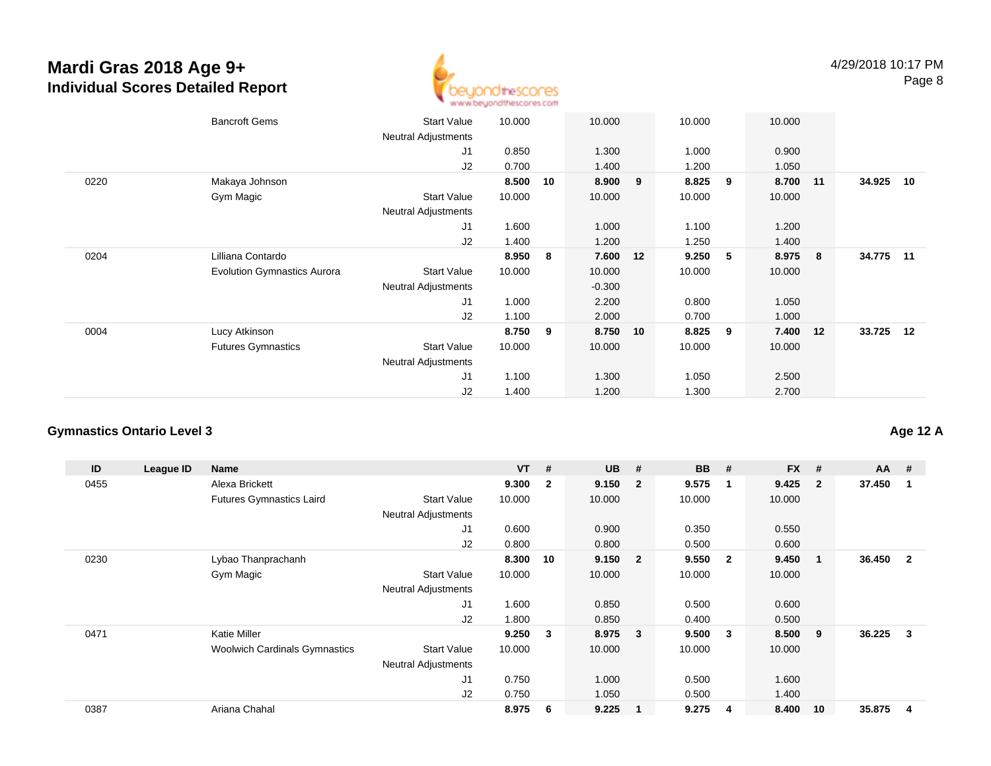

|      | <b>Bancroft Gems</b>               | <b>Start Value</b><br><b>Neutral Adjustments</b> | 10.000 |    | 10.000   |    | 10.000 |   | 10.000 |     |           |    |
|------|------------------------------------|--------------------------------------------------|--------|----|----------|----|--------|---|--------|-----|-----------|----|
|      |                                    | J1                                               | 0.850  |    | 1.300    |    | 1.000  |   | 0.900  |     |           |    |
|      |                                    | J2                                               | 0.700  |    | 1.400    |    | 1.200  |   | 1.050  |     |           |    |
| 0220 | Makaya Johnson                     |                                                  | 8.500  | 10 | 8.900    | 9  | 8.825  | 9 | 8.700  | 11  | 34.925    | 10 |
|      | Gym Magic                          | <b>Start Value</b>                               | 10.000 |    | 10.000   |    | 10.000 |   | 10.000 |     |           |    |
|      |                                    | <b>Neutral Adjustments</b>                       |        |    |          |    |        |   |        |     |           |    |
|      |                                    | J1                                               | 1.600  |    | 1.000    |    | 1.100  |   | 1.200  |     |           |    |
|      |                                    | J2                                               | 1.400  |    | 1.200    |    | 1.250  |   | 1.400  |     |           |    |
| 0204 | Lilliana Contardo                  |                                                  | 8.950  | 8  | 7.600    | 12 | 9.250  | 5 | 8.975  | - 8 | 34.775 11 |    |
|      | <b>Evolution Gymnastics Aurora</b> | <b>Start Value</b>                               | 10.000 |    | 10.000   |    | 10.000 |   | 10.000 |     |           |    |
|      |                                    | <b>Neutral Adjustments</b>                       |        |    | $-0.300$ |    |        |   |        |     |           |    |
|      |                                    | J1                                               | 1.000  |    | 2.200    |    | 0.800  |   | 1.050  |     |           |    |
|      |                                    | J2                                               | 1.100  |    | 2.000    |    | 0.700  |   | 1.000  |     |           |    |
| 0004 | Lucy Atkinson                      |                                                  | 8.750  | 9  | 8.750    | 10 | 8.825  | 9 | 7.400  | 12  | 33.725 12 |    |
|      | <b>Futures Gymnastics</b>          | <b>Start Value</b>                               | 10.000 |    | 10.000   |    | 10.000 |   | 10.000 |     |           |    |
|      |                                    | <b>Neutral Adjustments</b>                       |        |    |          |    |        |   |        |     |           |    |
|      |                                    | J <sub>1</sub>                                   | 1.100  |    | 1.300    |    | 1.050  |   | 2.500  |     |           |    |
|      |                                    | J2                                               | 1.400  |    | 1.200    |    | 1.300  |   | 2.700  |     |           |    |

### **Gymnastics Ontario Level 3**

| ID   | League ID | Name                                 |                            | <b>VT</b> | #                       | <b>UB</b> | #                       | <b>BB</b> | #              | <b>FX</b> | #              | $AA$ # |                |
|------|-----------|--------------------------------------|----------------------------|-----------|-------------------------|-----------|-------------------------|-----------|----------------|-----------|----------------|--------|----------------|
| 0455 |           | Alexa Brickett                       |                            | 9.300     | $\overline{\mathbf{2}}$ | 9.150     | $\overline{\mathbf{2}}$ | 9.575     | -1             | 9.425     | $\overline{2}$ | 37.450 |                |
|      |           | <b>Futures Gymnastics Laird</b>      | <b>Start Value</b>         | 10.000    |                         | 10.000    |                         | 10.000    |                | 10.000    |                |        |                |
|      |           |                                      | <b>Neutral Adjustments</b> |           |                         |           |                         |           |                |           |                |        |                |
|      |           |                                      | J <sub>1</sub>             | 0.600     |                         | 0.900     |                         | 0.350     |                | 0.550     |                |        |                |
|      |           |                                      | J <sub>2</sub>             | 0.800     |                         | 0.800     |                         | 0.500     |                | 0.600     |                |        |                |
| 0230 |           | Lybao Thanprachanh                   |                            | 8.300     | 10                      | 9.150     | $\overline{\mathbf{2}}$ | 9.550     | $\overline{2}$ | 9.450     | $\mathbf{1}$   | 36.450 | $\overline{2}$ |
|      |           | Gym Magic                            | <b>Start Value</b>         | 10.000    |                         | 10.000    |                         | 10.000    |                | 10.000    |                |        |                |
|      |           |                                      | <b>Neutral Adjustments</b> |           |                         |           |                         |           |                |           |                |        |                |
|      |           |                                      | J <sub>1</sub>             | 1.600     |                         | 0.850     |                         | 0.500     |                | 0.600     |                |        |                |
|      |           |                                      | J2                         | 1.800     |                         | 0.850     |                         | 0.400     |                | 0.500     |                |        |                |
| 0471 |           | <b>Katie Miller</b>                  |                            | 9.250     | $\mathbf{3}$            | 8.975     | $\overline{\mathbf{3}}$ | 9.500     | 3              | 8.500     | 9              | 36.225 | 3              |
|      |           | <b>Woolwich Cardinals Gymnastics</b> | <b>Start Value</b>         | 10.000    |                         | 10.000    |                         | 10.000    |                | 10.000    |                |        |                |
|      |           |                                      | <b>Neutral Adjustments</b> |           |                         |           |                         |           |                |           |                |        |                |
|      |           |                                      | J1                         | 0.750     |                         | 1.000     |                         | 0.500     |                | 1.600     |                |        |                |
|      |           |                                      | J <sub>2</sub>             | 0.750     |                         | 1.050     |                         | 0.500     |                | 1.400     |                |        |                |
| 0387 |           | Ariana Chahal                        |                            | 8.975     | -6                      | 9.225     | -1                      | 9.275     | 4              | 8.400     | 10             | 35.875 | 4              |

### **Age 12 A**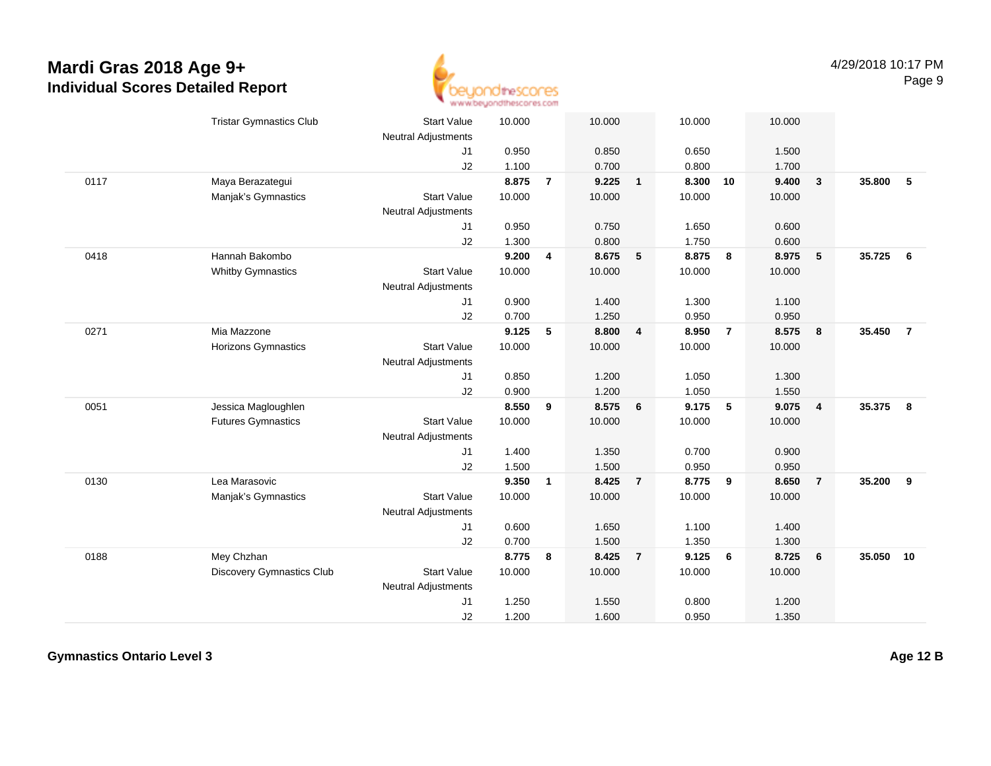

|      | <b>Tristar Gymnastics Club</b> | <b>Start Value</b>         | 10.000 |                         | 10.000 |                 | 10.000 |                | 10.000 |                |        |                |
|------|--------------------------------|----------------------------|--------|-------------------------|--------|-----------------|--------|----------------|--------|----------------|--------|----------------|
|      |                                | <b>Neutral Adjustments</b> |        |                         |        |                 |        |                |        |                |        |                |
|      |                                | J <sub>1</sub>             | 0.950  |                         | 0.850  |                 | 0.650  |                | 1.500  |                |        |                |
|      |                                | J2                         | 1.100  |                         | 0.700  |                 | 0.800  |                | 1.700  |                |        |                |
| 0117 | Maya Berazategui               |                            | 8.875  | $\overline{7}$          | 9.225  | $\mathbf{1}$    | 8.300  | 10             | 9.400  | $\mathbf{3}$   | 35.800 | -5             |
|      | Manjak's Gymnastics            | <b>Start Value</b>         | 10.000 |                         | 10.000 |                 | 10.000 |                | 10.000 |                |        |                |
|      |                                | Neutral Adjustments        |        |                         |        |                 |        |                |        |                |        |                |
|      |                                | J1                         | 0.950  |                         | 0.750  |                 | 1.650  |                | 0.600  |                |        |                |
|      |                                | J2                         | 1.300  |                         | 0.800  |                 | 1.750  |                | 0.600  |                |        |                |
| 0418 | Hannah Bakombo                 |                            | 9.200  | $\overline{\mathbf{4}}$ | 8.675  | $5\phantom{.0}$ | 8.875  | 8              | 8.975  | 5              | 35.725 | 6              |
|      | <b>Whitby Gymnastics</b>       | <b>Start Value</b>         | 10.000 |                         | 10.000 |                 | 10.000 |                | 10.000 |                |        |                |
|      |                                | <b>Neutral Adjustments</b> |        |                         |        |                 |        |                |        |                |        |                |
|      |                                | J1                         | 0.900  |                         | 1.400  |                 | 1.300  |                | 1.100  |                |        |                |
|      |                                | J2                         | 0.700  |                         | 1.250  |                 | 0.950  |                | 0.950  |                |        |                |
| 0271 | Mia Mazzone                    |                            | 9.125  | 5                       | 8.800  | $\overline{4}$  | 8.950  | $\overline{7}$ | 8.575  | 8              | 35.450 | $\overline{7}$ |
|      | Horizons Gymnastics            | <b>Start Value</b>         | 10.000 |                         | 10.000 |                 | 10.000 |                | 10.000 |                |        |                |
|      |                                | Neutral Adjustments        |        |                         |        |                 |        |                |        |                |        |                |
|      |                                | J1                         | 0.850  |                         | 1.200  |                 | 1.050  |                | 1.300  |                |        |                |
|      |                                | J2                         | 0.900  |                         | 1.200  |                 | 1.050  |                | 1.550  |                |        |                |
| 0051 | Jessica Magloughlen            |                            | 8.550  | 9                       | 8.575  | 6               | 9.175  | 5              | 9.075  | $\overline{4}$ | 35.375 | 8              |
|      | <b>Futures Gymnastics</b>      | <b>Start Value</b>         | 10.000 |                         | 10.000 |                 | 10.000 |                | 10.000 |                |        |                |
|      |                                | <b>Neutral Adjustments</b> |        |                         |        |                 |        |                |        |                |        |                |
|      |                                | J <sub>1</sub>             | 1.400  |                         | 1.350  |                 | 0.700  |                | 0.900  |                |        |                |
|      |                                | J2                         | 1.500  |                         | 1.500  |                 | 0.950  |                | 0.950  |                |        |                |
| 0130 | Lea Marasovic                  |                            | 9.350  | $\mathbf{1}$            | 8.425  | $\overline{7}$  | 8.775  | 9              | 8.650  | $\overline{7}$ | 35.200 | 9              |
|      | Manjak's Gymnastics            | <b>Start Value</b>         | 10.000 |                         | 10.000 |                 | 10.000 |                | 10.000 |                |        |                |
|      |                                | <b>Neutral Adjustments</b> |        |                         |        |                 |        |                |        |                |        |                |
|      |                                | J <sub>1</sub>             | 0.600  |                         | 1.650  |                 | 1.100  |                | 1.400  |                |        |                |
|      |                                | J2                         | 0.700  |                         | 1.500  |                 | 1.350  |                | 1.300  |                |        |                |
| 0188 | Mey Chzhan                     |                            | 8.775  | 8                       | 8.425  | $\overline{7}$  | 9.125  | 6              | 8.725  | 6              | 35.050 | 10             |
|      |                                |                            |        |                         |        |                 |        |                |        |                |        |                |
|      | Discovery Gymnastics Club      | <b>Start Value</b>         | 10.000 |                         | 10.000 |                 | 10.000 |                | 10.000 |                |        |                |
|      |                                | Neutral Adjustments        |        |                         |        |                 |        |                |        |                |        |                |
|      |                                | J1                         | 1.250  |                         | 1.550  |                 | 0.800  |                | 1.200  |                |        |                |
|      |                                | J2                         | 1.200  |                         | 1.600  |                 | 0.950  |                | 1.350  |                |        |                |

**Gymnastics Ontario Level 3**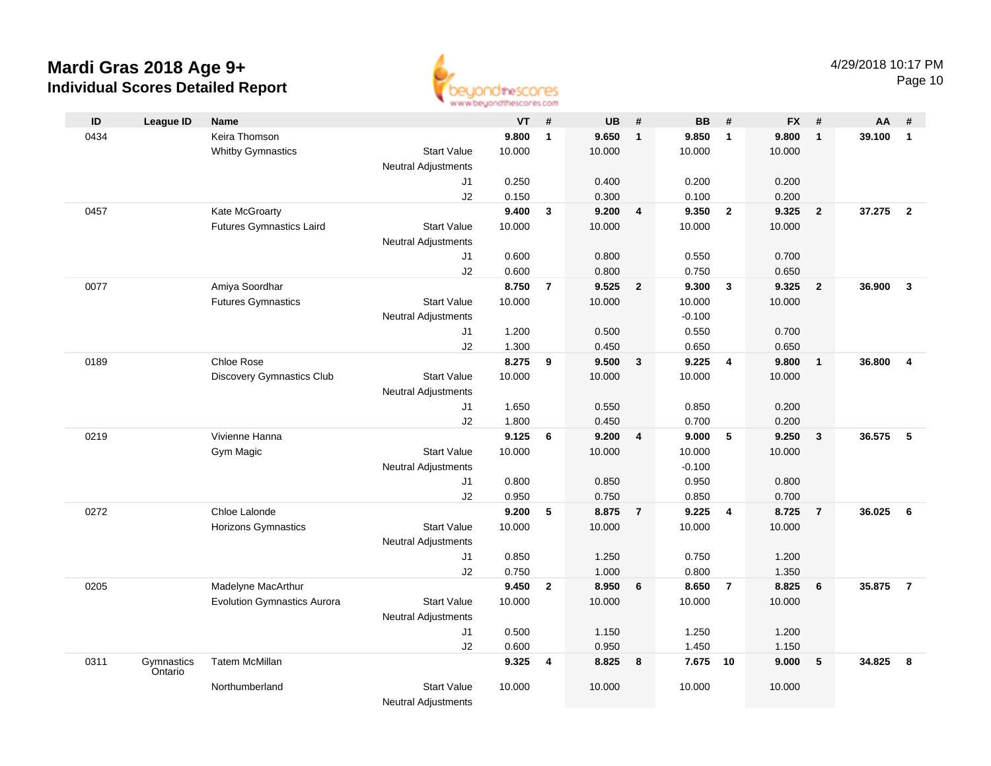

| ID   | <b>League ID</b>      | <b>Name</b>                        |                            | <b>VT</b> | #              | <b>UB</b> | #                       | <b>BB</b> | #                       | <b>FX</b> | #              | AA     | #                       |
|------|-----------------------|------------------------------------|----------------------------|-----------|----------------|-----------|-------------------------|-----------|-------------------------|-----------|----------------|--------|-------------------------|
| 0434 |                       | Keira Thomson                      |                            | 9.800     | $\mathbf{1}$   | 9.650     | $\mathbf{1}$            | 9.850     | $\mathbf{1}$            | 9.800     | $\overline{1}$ | 39.100 | $\mathbf{1}$            |
|      |                       | <b>Whitby Gymnastics</b>           | <b>Start Value</b>         | 10.000    |                | 10.000    |                         | 10.000    |                         | 10.000    |                |        |                         |
|      |                       |                                    | <b>Neutral Adjustments</b> |           |                |           |                         |           |                         |           |                |        |                         |
|      |                       |                                    | J1                         | 0.250     |                | 0.400     |                         | 0.200     |                         | 0.200     |                |        |                         |
|      |                       |                                    | J2                         | 0.150     |                | 0.300     |                         | 0.100     |                         | 0.200     |                |        |                         |
| 0457 |                       | Kate McGroarty                     |                            | 9.400     | $\mathbf{3}$   | 9.200     | $\overline{\mathbf{4}}$ | 9.350     | $\overline{2}$          | 9.325     | $\overline{2}$ | 37.275 | $\overline{2}$          |
|      |                       | Futures Gymnastics Laird           | <b>Start Value</b>         | 10.000    |                | 10.000    |                         | 10.000    |                         | 10.000    |                |        |                         |
|      |                       |                                    | <b>Neutral Adjustments</b> |           |                |           |                         |           |                         |           |                |        |                         |
|      |                       |                                    | J1                         | 0.600     |                | 0.800     |                         | 0.550     |                         | 0.700     |                |        |                         |
|      |                       |                                    | J2                         | 0.600     |                | 0.800     |                         | 0.750     |                         | 0.650     |                |        |                         |
| 0077 |                       | Amiya Soordhar                     |                            | 8.750     | $\overline{7}$ | 9.525     | $\mathbf{2}$            | 9.300     | $\mathbf{3}$            | 9.325     | $\overline{2}$ | 36.900 | $\overline{\mathbf{3}}$ |
|      |                       | <b>Futures Gymnastics</b>          | <b>Start Value</b>         | 10.000    |                | 10.000    |                         | 10.000    |                         | 10.000    |                |        |                         |
|      |                       |                                    | <b>Neutral Adjustments</b> |           |                |           |                         | $-0.100$  |                         |           |                |        |                         |
|      |                       |                                    | J1                         | 1.200     |                | 0.500     |                         | 0.550     |                         | 0.700     |                |        |                         |
|      |                       |                                    | J2                         | 1.300     |                | 0.450     |                         | 0.650     |                         | 0.650     |                |        |                         |
| 0189 |                       | Chloe Rose                         |                            | 8.275     | 9              | 9.500     | $\mathbf{3}$            | 9.225     | $\overline{4}$          | 9.800     | $\overline{1}$ | 36.800 | $\overline{4}$          |
|      |                       | Discovery Gymnastics Club          | <b>Start Value</b>         | 10.000    |                | 10.000    |                         | 10.000    |                         | 10.000    |                |        |                         |
|      |                       |                                    | <b>Neutral Adjustments</b> |           |                |           |                         |           |                         |           |                |        |                         |
|      |                       |                                    | J1                         | 1.650     |                | 0.550     |                         | 0.850     |                         | 0.200     |                |        |                         |
|      |                       |                                    | J2                         | 1.800     |                | 0.450     |                         | 0.700     |                         | 0.200     |                |        |                         |
| 0219 |                       | Vivienne Hanna                     |                            | 9.125     | 6              | 9.200     | $\overline{\mathbf{4}}$ | 9.000     | 5                       | 9.250     | $\mathbf{3}$   | 36.575 | 5                       |
|      |                       | Gym Magic                          | <b>Start Value</b>         | 10.000    |                | 10.000    |                         | 10.000    |                         | 10.000    |                |        |                         |
|      |                       |                                    | <b>Neutral Adjustments</b> |           |                |           |                         | $-0.100$  |                         |           |                |        |                         |
|      |                       |                                    | J1                         | 0.800     |                | 0.850     |                         | 0.950     |                         | 0.800     |                |        |                         |
|      |                       |                                    | J2                         | 0.950     |                | 0.750     |                         | 0.850     |                         | 0.700     |                |        |                         |
| 0272 |                       | Chloe Lalonde                      |                            | 9.200     | 5              | 8.875     | $\overline{7}$          | 9.225     | $\overline{\mathbf{4}}$ | 8.725     | $\overline{7}$ | 36.025 | 6                       |
|      |                       | Horizons Gymnastics                | <b>Start Value</b>         | 10.000    |                | 10.000    |                         | 10.000    |                         | 10.000    |                |        |                         |
|      |                       |                                    | <b>Neutral Adjustments</b> |           |                |           |                         |           |                         |           |                |        |                         |
|      |                       |                                    | J1                         | 0.850     |                | 1.250     |                         | 0.750     |                         | 1.200     |                |        |                         |
|      |                       |                                    | J2                         | 0.750     |                | 1.000     |                         | 0.800     |                         | 1.350     |                |        |                         |
| 0205 |                       | Madelyne MacArthur                 |                            | 9.450     | $\mathbf{2}$   | 8.950     | 6                       | 8.650     | $\overline{7}$          | 8.825     | 6              | 35.875 | $\overline{7}$          |
|      |                       | <b>Evolution Gymnastics Aurora</b> | <b>Start Value</b>         | 10.000    |                | 10.000    |                         | 10.000    |                         | 10.000    |                |        |                         |
|      |                       |                                    | <b>Neutral Adjustments</b> |           |                |           |                         |           |                         |           |                |        |                         |
|      |                       |                                    | J1                         | 0.500     |                | 1.150     |                         | 1.250     |                         | 1.200     |                |        |                         |
|      |                       |                                    | J2                         | 0.600     |                | 0.950     |                         | 1.450     |                         | 1.150     |                |        |                         |
| 0311 | Gymnastics<br>Ontario | <b>Tatem McMillan</b>              |                            | 9.325     | 4              | 8.825     | 8                       | 7.675 10  |                         | 9.000     | 5              | 34.825 | 8                       |
|      |                       | Northumberland                     | <b>Start Value</b>         | 10.000    |                | 10.000    |                         | 10.000    |                         | 10.000    |                |        |                         |
|      |                       |                                    | <b>Neutral Adjustments</b> |           |                |           |                         |           |                         |           |                |        |                         |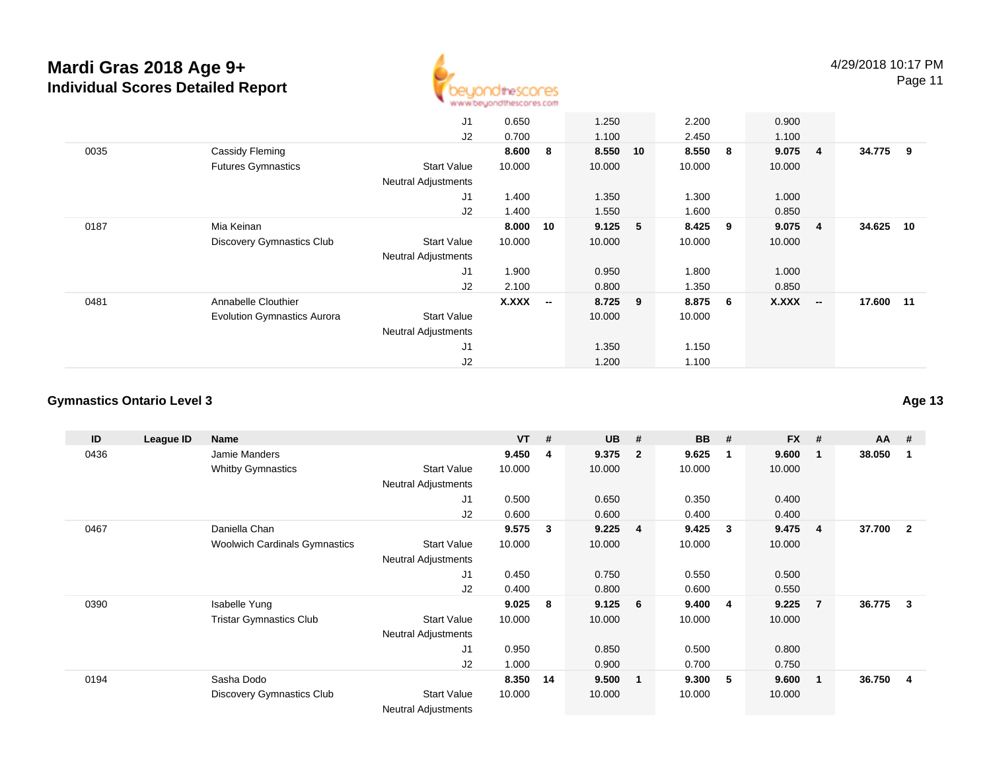

|      |                                    | J <sub>1</sub>             | 0.650  |                          | 1.250   |    | 2.200  |   | 0.900  |                          |           |    |
|------|------------------------------------|----------------------------|--------|--------------------------|---------|----|--------|---|--------|--------------------------|-----------|----|
|      |                                    | J2                         | 0.700  |                          | 1.100   |    | 2.450  |   | 1.100  |                          |           |    |
| 0035 | Cassidy Fleming                    |                            | 8.600  | 8                        | 8.550   | 10 | 8.550  | 8 | 9.075  | $\overline{\mathbf{4}}$  | 34.775 9  |    |
|      | <b>Futures Gymnastics</b>          | Start Value                | 10.000 |                          | 10.000  |    | 10.000 |   | 10.000 |                          |           |    |
|      |                                    | <b>Neutral Adjustments</b> |        |                          |         |    |        |   |        |                          |           |    |
|      |                                    | J1                         | 1.400  |                          | 1.350   |    | 1.300  |   | 1.000  |                          |           |    |
|      |                                    | J2                         | 1.400  |                          | 1.550   |    | 1.600  |   | 0.850  |                          |           |    |
| 0187 | Mia Keinan                         |                            | 8.000  | 10                       | 9.125   | 5  | 8.425  | 9 | 9.075  | $\overline{4}$           | 34.625    | 10 |
|      | Discovery Gymnastics Club          | Start Value                | 10.000 |                          | 10.000  |    | 10.000 |   | 10.000 |                          |           |    |
|      |                                    | <b>Neutral Adjustments</b> |        |                          |         |    |        |   |        |                          |           |    |
|      |                                    | J <sub>1</sub>             | 1.900  |                          | 0.950   |    | 1.800  |   | 1.000  |                          |           |    |
|      |                                    | J2                         | 2.100  |                          | 0.800   |    | 1.350  |   | 0.850  |                          |           |    |
| 0481 | Annabelle Clouthier                |                            | X.XXX  | $\overline{\phantom{a}}$ | 8.725 9 |    | 8.875  | 6 | X.XXX  | $\overline{\phantom{a}}$ | 17.600 11 |    |
|      | <b>Evolution Gymnastics Aurora</b> | Start Value                |        |                          | 10.000  |    | 10.000 |   |        |                          |           |    |
|      |                                    | <b>Neutral Adjustments</b> |        |                          |         |    |        |   |        |                          |           |    |
|      |                                    | J1                         |        |                          | 1.350   |    | 1.150  |   |        |                          |           |    |
|      |                                    | J2                         |        |                          | 1.200   |    | 1.100  |   |        |                          |           |    |

### **Gymnastics Ontario Level 3**

| ID   | League ID | Name                                 |                            | $VT$ # |     | <b>UB</b> | #              | <b>BB</b> | #            | <b>FX</b> | #              | $AA$ # |                |
|------|-----------|--------------------------------------|----------------------------|--------|-----|-----------|----------------|-----------|--------------|-----------|----------------|--------|----------------|
| 0436 |           | Jamie Manders                        |                            | 9.450  | 4   | 9.375     | $\overline{2}$ | 9.625     | $\mathbf 1$  | 9.600     | $\mathbf 1$    | 38.050 | 1              |
|      |           | <b>Whitby Gymnastics</b>             | <b>Start Value</b>         | 10.000 |     | 10.000    |                | 10.000    |              | 10.000    |                |        |                |
|      |           |                                      | <b>Neutral Adjustments</b> |        |     |           |                |           |              |           |                |        |                |
|      |           |                                      | J <sub>1</sub>             | 0.500  |     | 0.650     |                | 0.350     |              | 0.400     |                |        |                |
|      |           |                                      | J2                         | 0.600  |     | 0.600     |                | 0.400     |              | 0.400     |                |        |                |
| 0467 |           | Daniella Chan                        |                            | 9.575  | 3   | 9.225     | $\overline{4}$ | 9.425     | $\mathbf{3}$ | 9.475     | $\overline{4}$ | 37.700 | $\overline{2}$ |
|      |           | <b>Woolwich Cardinals Gymnastics</b> | <b>Start Value</b>         | 10.000 |     | 10.000    |                | 10.000    |              | 10.000    |                |        |                |
|      |           |                                      | Neutral Adjustments        |        |     |           |                |           |              |           |                |        |                |
|      |           |                                      | J <sub>1</sub>             | 0.450  |     | 0.750     |                | 0.550     |              | 0.500     |                |        |                |
|      |           |                                      | J2                         | 0.400  |     | 0.800     |                | 0.600     |              | 0.550     |                |        |                |
| 0390 |           | Isabelle Yung                        |                            | 9.025  | 8   | 9.125     | 6 <sup>8</sup> | 9.400     | - 4          | 9.225     | $\overline{7}$ | 36.775 | 3              |
|      |           | <b>Tristar Gymnastics Club</b>       | <b>Start Value</b>         | 10.000 |     | 10.000    |                | 10.000    |              | 10.000    |                |        |                |
|      |           |                                      | <b>Neutral Adjustments</b> |        |     |           |                |           |              |           |                |        |                |
|      |           |                                      | J1                         | 0.950  |     | 0.850     |                | 0.500     |              | 0.800     |                |        |                |
|      |           |                                      | J2                         | 1.000  |     | 0.900     |                | 0.700     |              | 0.750     |                |        |                |
| 0194 |           | Sasha Dodo                           |                            | 8.350  | -14 | 9.500     | $\mathbf{1}$   | 9.300     | - 5          | 9.600     | $\mathbf 1$    | 36.750 | 4              |
|      |           | <b>Discovery Gymnastics Club</b>     | <b>Start Value</b>         | 10.000 |     | 10.000    |                | 10.000    |              | 10.000    |                |        |                |
|      |           |                                      | <b>Neutral Adjustments</b> |        |     |           |                |           |              |           |                |        |                |

**Age 13**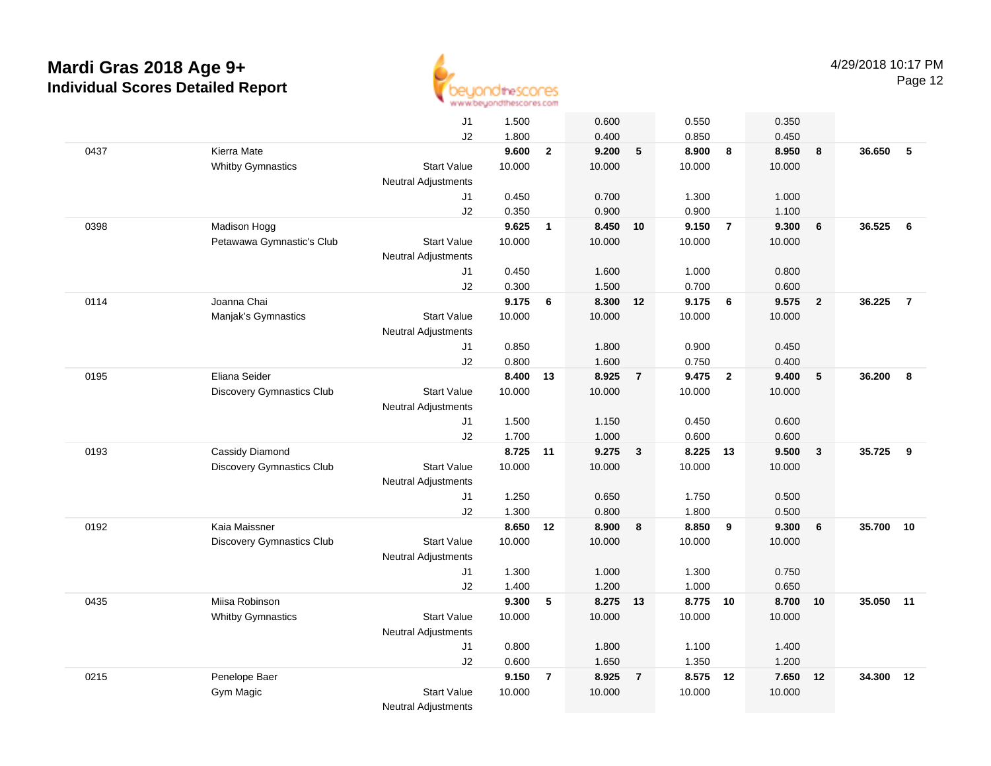

|      |                                  | J1                         | 1.500           | 0.600                   |                | 0.550           |                         | 0.350           |                 |        |                |
|------|----------------------------------|----------------------------|-----------------|-------------------------|----------------|-----------------|-------------------------|-----------------|-----------------|--------|----------------|
|      |                                  | J2                         | 1.800           | 0.400                   |                | 0.850           |                         | 0.450           |                 |        |                |
| 0437 | Kierra Mate                      |                            | 9.600           | $\mathbf{2}$<br>9.200   | 5              | 8.900           | 8                       | 8.950           | 8               | 36.650 | 5              |
|      | <b>Whitby Gymnastics</b>         | <b>Start Value</b>         | 10.000          | 10.000                  |                | 10.000          |                         | 10.000          |                 |        |                |
|      |                                  | <b>Neutral Adjustments</b> |                 |                         |                |                 |                         |                 |                 |        |                |
|      |                                  | J1                         | 0.450           | 0.700                   |                | 1.300           |                         | 1.000           |                 |        |                |
|      |                                  | J2                         | 0.350           | 0.900                   |                | 0.900           |                         | 1.100           |                 |        |                |
| 0398 | Madison Hogg                     |                            | 9.625           | 8.450<br>$\mathbf{1}$   | 10             | 9.150           | $\overline{7}$          | 9.300           | 6               | 36.525 | 6              |
|      | Petawawa Gymnastic's Club        | <b>Start Value</b>         | 10.000          | 10.000                  |                | 10.000          |                         | 10.000          |                 |        |                |
|      |                                  | <b>Neutral Adjustments</b> |                 |                         |                |                 |                         |                 |                 |        |                |
|      |                                  | J1                         | 0.450           | 1.600                   |                | 1.000           |                         | 0.800           |                 |        |                |
|      |                                  | J2                         | 0.300           | 1.500                   |                | 0.700           |                         | 0.600           |                 |        |                |
| 0114 | Joanna Chai                      |                            | 9.175           | 8.300<br>6              | 12             | 9.175           | $6\overline{6}$         | 9.575           | $\overline{2}$  | 36.225 | $\overline{7}$ |
|      | Manjak's Gymnastics              | <b>Start Value</b>         | 10.000          | 10.000                  |                | 10.000          |                         | 10.000          |                 |        |                |
|      |                                  | <b>Neutral Adjustments</b> |                 |                         |                |                 |                         |                 |                 |        |                |
|      |                                  | J1                         | 0.850           | 1.800                   |                | 0.900           |                         | 0.450           |                 |        |                |
|      | Eliana Seider                    | J2                         | 0.800           | 1.600                   |                | 0.750           |                         | 0.400           |                 |        |                |
| 0195 | <b>Discovery Gymnastics Club</b> | <b>Start Value</b>         | 8.400<br>10.000 | 8.925<br>13<br>10.000   | $\overline{7}$ | 9.475<br>10.000 | $\overline{\mathbf{2}}$ | 9.400<br>10.000 | $5\phantom{.0}$ | 36.200 | 8              |
|      |                                  | <b>Neutral Adjustments</b> |                 |                         |                |                 |                         |                 |                 |        |                |
|      |                                  | J1                         | 1.500           | 1.150                   |                | 0.450           |                         | 0.600           |                 |        |                |
|      |                                  | J2                         | 1.700           | 1.000                   |                | 0.600           |                         | 0.600           |                 |        |                |
| 0193 | Cassidy Diamond                  |                            | 8.725           | 9.275<br>11             | $\mathbf{3}$   | 8.225           | 13                      | 9.500           | $\mathbf{3}$    | 35.725 | 9              |
|      | <b>Discovery Gymnastics Club</b> | <b>Start Value</b>         | 10.000          | 10.000                  |                | 10.000          |                         | 10.000          |                 |        |                |
|      |                                  | <b>Neutral Adjustments</b> |                 |                         |                |                 |                         |                 |                 |        |                |
|      |                                  | J1                         | 1.250           | 0.650                   |                | 1.750           |                         | 0.500           |                 |        |                |
|      |                                  | J2                         | 1.300           | 0.800                   |                | 1.800           |                         | 0.500           |                 |        |                |
| 0192 | Kaia Maissner                    |                            | 8.650           | 8.900<br>12             | 8              | 8.850           | 9                       | 9.300           | 6               | 35.700 | 10             |
|      | Discovery Gymnastics Club        | <b>Start Value</b>         | 10.000          | 10.000                  |                | 10.000          |                         | 10.000          |                 |        |                |
|      |                                  | <b>Neutral Adjustments</b> |                 |                         |                |                 |                         |                 |                 |        |                |
|      |                                  | J1                         | 1.300           | 1.000                   |                | 1.300           |                         | 0.750           |                 |        |                |
|      |                                  | J2                         | 1.400           | 1.200                   |                | 1.000           |                         | 0.650           |                 |        |                |
| 0435 | Miisa Robinson                   |                            | 9.300           | 5                       | 8.275 13       | 8.775 10        |                         | 8.700           | 10              | 35.050 | 11             |
|      | <b>Whitby Gymnastics</b>         | <b>Start Value</b>         | 10.000          | 10.000                  |                | 10.000          |                         | 10.000          |                 |        |                |
|      |                                  | <b>Neutral Adjustments</b> |                 |                         |                |                 |                         |                 |                 |        |                |
|      |                                  | J1                         | 0.800           | 1.800                   |                | 1.100           |                         | 1.400           |                 |        |                |
|      |                                  | J2                         | 0.600           | 1.650                   |                | 1.350           |                         | 1.200           |                 |        |                |
| 0215 | Penelope Baer                    |                            | 9.150           | $\overline{7}$<br>8.925 | $\overline{7}$ | 8.575 12        |                         | 7.650           | 12              | 34.300 | 12             |
|      | Gym Magic                        | <b>Start Value</b>         | 10.000          | 10.000                  |                | 10.000          |                         | 10.000          |                 |        |                |
|      |                                  | <b>Neutral Adjustments</b> |                 |                         |                |                 |                         |                 |                 |        |                |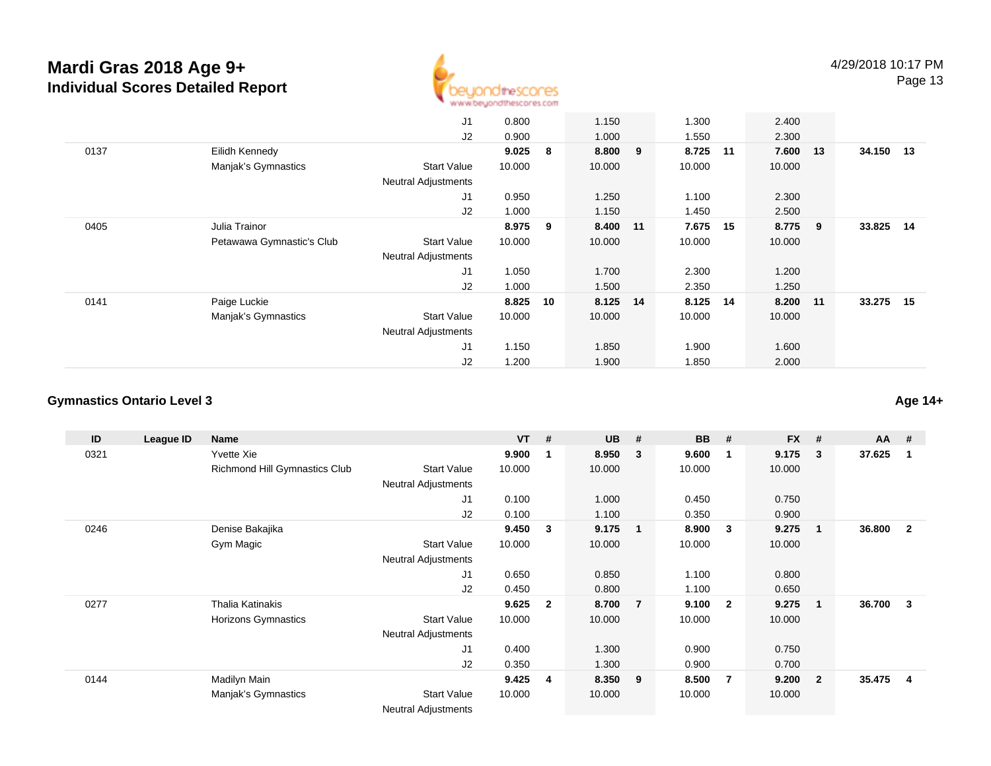

|      |                           | J1                         | 0.800  |    | 1.150    | 1.300    |    | 2.400  |     |           |      |
|------|---------------------------|----------------------------|--------|----|----------|----------|----|--------|-----|-----------|------|
|      |                           | J2                         | 0.900  |    | 1.000    | 1.550    |    | 2.300  |     |           |      |
| 0137 | Eilidh Kennedy            |                            | 9.025  | 8  | 8.800 9  | 8.725 11 |    | 7.600  | 13  | 34.150 13 |      |
|      | Manjak's Gymnastics       | <b>Start Value</b>         | 10.000 |    | 10.000   | 10.000   |    | 10.000 |     |           |      |
|      |                           | <b>Neutral Adjustments</b> |        |    |          |          |    |        |     |           |      |
|      |                           | J <sub>1</sub>             | 0.950  |    | 1.250    | 1.100    |    | 2.300  |     |           |      |
|      |                           | J2                         | 1.000  |    | 1.150    | 1.450    |    | 2.500  |     |           |      |
| 0405 | Julia Trainor             |                            | 8.975  | 9  | 8.400 11 | 7.675    | 15 | 8.775  | - 9 | 33.825    | - 14 |
|      | Petawawa Gymnastic's Club | <b>Start Value</b>         | 10.000 |    | 10.000   | 10.000   |    | 10.000 |     |           |      |
|      |                           | <b>Neutral Adjustments</b> |        |    |          |          |    |        |     |           |      |
|      |                           | J <sub>1</sub>             | 1.050  |    | 1.700    | 2.300    |    | 1.200  |     |           |      |
|      |                           | J2                         | 1.000  |    | 1.500    | 2.350    |    | 1.250  |     |           |      |
| 0141 | Paige Luckie              |                            | 8.825  | 10 | 8.125 14 | 8.125    | 14 | 8.200  | 11  | 33.275    | 15   |
|      | Manjak's Gymnastics       | <b>Start Value</b>         | 10.000 |    | 10.000   | 10.000   |    | 10.000 |     |           |      |
|      |                           | <b>Neutral Adjustments</b> |        |    |          |          |    |        |     |           |      |
|      |                           | J <sub>1</sub>             | 1.150  |    | 1.850    | 1.900    |    | 1.600  |     |           |      |
|      |                           | J2                         | 1.200  |    | 1.900    | 1.850    |    | 2.000  |     |           |      |

### **Gymnastics Ontario Level 3**

| ID   | League ID | Name                          |                            | $VT$ # |              | <b>UB</b> | #              | BB     | #                       | <b>FX</b> | #              | $AA$ # |                |
|------|-----------|-------------------------------|----------------------------|--------|--------------|-----------|----------------|--------|-------------------------|-----------|----------------|--------|----------------|
| 0321 |           | Yvette Xie                    |                            | 9.900  | 1            | 8.950     | 3              | 9.600  | -1                      | 9.175     | 3              | 37.625 | 1              |
|      |           | Richmond Hill Gymnastics Club | <b>Start Value</b>         | 10.000 |              | 10.000    |                | 10.000 |                         | 10.000    |                |        |                |
|      |           |                               | <b>Neutral Adjustments</b> |        |              |           |                |        |                         |           |                |        |                |
|      |           |                               | J <sub>1</sub>             | 0.100  |              | 1.000     |                | 0.450  |                         | 0.750     |                |        |                |
|      |           |                               | J2                         | 0.100  |              | 1.100     |                | 0.350  |                         | 0.900     |                |        |                |
| 0246 |           | Denise Bakajika               |                            | 9.450  | 3            | 9.175     |                | 8.900  | $\mathbf{3}$            | 9.275     | $\mathbf{1}$   | 36.800 | $\overline{2}$ |
|      |           | Gym Magic                     | <b>Start Value</b>         | 10.000 |              | 10.000    |                | 10.000 |                         | 10.000    |                |        |                |
|      |           |                               | <b>Neutral Adjustments</b> |        |              |           |                |        |                         |           |                |        |                |
|      |           |                               | J <sub>1</sub>             | 0.650  |              | 0.850     |                | 1.100  |                         | 0.800     |                |        |                |
|      |           |                               | J2                         | 0.450  |              | 0.800     |                | 1.100  |                         | 0.650     |                |        |                |
| 0277 |           | Thalia Katinakis              |                            | 9.625  | $\mathbf{2}$ | 8.700     | $\overline{7}$ | 9.100  | $\overline{\mathbf{2}}$ | 9.275     | $\mathbf{1}$   | 36.700 | 3              |
|      |           | Horizons Gymnastics           | <b>Start Value</b>         | 10.000 |              | 10.000    |                | 10.000 |                         | 10.000    |                |        |                |
|      |           |                               | <b>Neutral Adjustments</b> |        |              |           |                |        |                         |           |                |        |                |
|      |           |                               | J1                         | 0.400  |              | 1.300     |                | 0.900  |                         | 0.750     |                |        |                |
|      |           |                               | J2                         | 0.350  |              | 1.300     |                | 0.900  |                         | 0.700     |                |        |                |
| 0144 |           | Madilyn Main                  |                            | 9.425  | -4           | 8.350     | - 9            | 8.500  | - 7                     | 9.200     | $\overline{2}$ | 35.475 | 4              |
|      |           | Manjak's Gymnastics           | <b>Start Value</b>         | 10.000 |              | 10.000    |                | 10.000 |                         | 10.000    |                |        |                |
|      |           |                               | <b>Neutral Adjustments</b> |        |              |           |                |        |                         |           |                |        |                |

**Age 14+**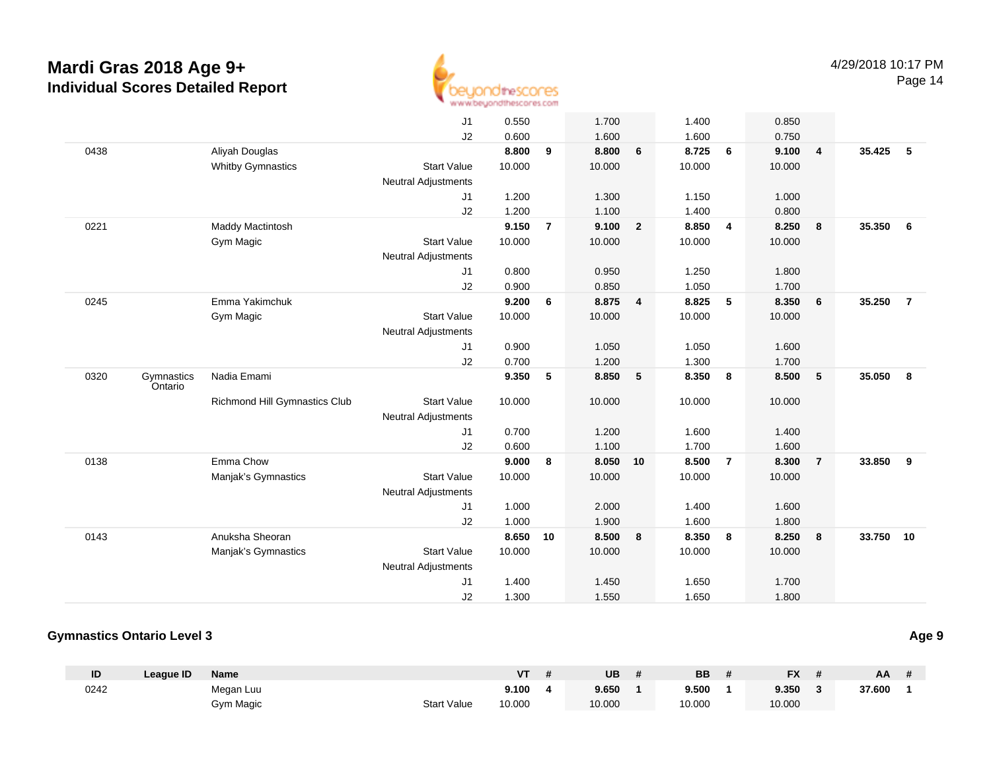

|      |                       |                               | J <sub>1</sub>             | 0.550  |                | 1.700  |                | 1.400  |                | 0.850  |                |        |                |
|------|-----------------------|-------------------------------|----------------------------|--------|----------------|--------|----------------|--------|----------------|--------|----------------|--------|----------------|
|      |                       |                               | J2                         | 0.600  |                | 1.600  |                | 1.600  |                | 0.750  |                |        |                |
| 0438 |                       | Aliyah Douglas                |                            | 8.800  | 9              | 8.800  | 6              | 8.725  | 6              | 9.100  | $\overline{4}$ | 35.425 | 5              |
|      |                       | <b>Whitby Gymnastics</b>      | <b>Start Value</b>         | 10.000 |                | 10.000 |                | 10.000 |                | 10.000 |                |        |                |
|      |                       |                               | <b>Neutral Adjustments</b> |        |                |        |                |        |                |        |                |        |                |
|      |                       |                               | J1                         | 1.200  |                | 1.300  |                | 1.150  |                | 1.000  |                |        |                |
|      |                       |                               | J2                         | 1.200  |                | 1.100  |                | 1.400  |                | 0.800  |                |        |                |
| 0221 |                       | Maddy Mactintosh              |                            | 9.150  | $\overline{7}$ | 9.100  | $\overline{2}$ | 8.850  | $\overline{4}$ | 8.250  | 8              | 35.350 | 6              |
|      |                       | Gym Magic                     | <b>Start Value</b>         | 10.000 |                | 10.000 |                | 10.000 |                | 10.000 |                |        |                |
|      |                       |                               | <b>Neutral Adjustments</b> |        |                |        |                |        |                |        |                |        |                |
|      |                       |                               | J <sub>1</sub>             | 0.800  |                | 0.950  |                | 1.250  |                | 1.800  |                |        |                |
|      |                       |                               | J2                         | 0.900  |                | 0.850  |                | 1.050  |                | 1.700  |                |        |                |
| 0245 |                       | Emma Yakimchuk                |                            | 9.200  | 6              | 8.875  | $\overline{4}$ | 8.825  | 5              | 8.350  | 6              | 35.250 | $\overline{7}$ |
|      |                       | <b>Gym Magic</b>              | <b>Start Value</b>         | 10.000 |                | 10.000 |                | 10.000 |                | 10.000 |                |        |                |
|      |                       |                               | <b>Neutral Adjustments</b> |        |                |        |                |        |                |        |                |        |                |
|      |                       |                               | J1                         | 0.900  |                | 1.050  |                | 1.050  |                | 1.600  |                |        |                |
|      |                       |                               | J2                         | 0.700  |                | 1.200  |                | 1.300  |                | 1.700  |                |        |                |
| 0320 | Gymnastics<br>Ontario | Nadia Emami                   |                            | 9.350  | 5              | 8.850  | 5              | 8.350  | 8              | 8.500  | $\sqrt{5}$     | 35.050 | 8              |
|      |                       | Richmond Hill Gymnastics Club | <b>Start Value</b>         | 10.000 |                | 10.000 |                | 10.000 |                | 10.000 |                |        |                |
|      |                       |                               | <b>Neutral Adjustments</b> |        |                |        |                |        |                |        |                |        |                |
|      |                       |                               | J <sub>1</sub>             | 0.700  |                | 1.200  |                | 1.600  |                | 1.400  |                |        |                |
|      |                       |                               | J2                         | 0.600  |                | 1.100  |                | 1.700  |                | 1.600  |                |        |                |
| 0138 |                       | Emma Chow                     |                            | 9.000  | 8              | 8.050  | 10             | 8.500  | $\overline{7}$ | 8.300  | $\overline{7}$ | 33.850 | 9              |
|      |                       | Manjak's Gymnastics           | <b>Start Value</b>         | 10.000 |                | 10.000 |                | 10.000 |                | 10.000 |                |        |                |
|      |                       |                               | <b>Neutral Adjustments</b> |        |                |        |                |        |                |        |                |        |                |
|      |                       |                               | J <sub>1</sub>             | 1.000  |                | 2.000  |                | 1.400  |                | 1.600  |                |        |                |
|      |                       |                               | J2                         | 1.000  |                | 1.900  |                | 1.600  |                | 1.800  |                |        |                |
| 0143 |                       | Anuksha Sheoran               |                            | 8.650  | 10             | 8.500  | 8              | 8.350  | 8              | 8.250  | 8              | 33.750 | 10             |
|      |                       | Manjak's Gymnastics           | <b>Start Value</b>         | 10.000 |                | 10.000 |                | 10.000 |                | 10.000 |                |        |                |
|      |                       |                               | <b>Neutral Adjustments</b> |        |                |        |                |        |                |        |                |        |                |
|      |                       |                               | J <sub>1</sub>             | 1.400  |                | 1.450  |                | 1.650  |                | 1.700  |                |        |                |
|      |                       |                               | J2                         | 1.300  |                | 1.550  |                | 1.650  |                | 1.800  |                |        |                |

### **Gymnastics Ontario Level 3**

| ID   | Leaque ID | <b>Name</b> |                    | VT     | UB     | <b>BB</b> | <b>FX</b> | AA     |  |
|------|-----------|-------------|--------------------|--------|--------|-----------|-----------|--------|--|
| 0242 |           | Megan Luu   |                    | 9.100  | 9.650  | 9.500     | 9.350     | 37.600 |  |
|      |           | Gym Magic   | <b>Start Value</b> | 10.000 | 10.000 | 10.000    | 10.000    |        |  |

**Age 9**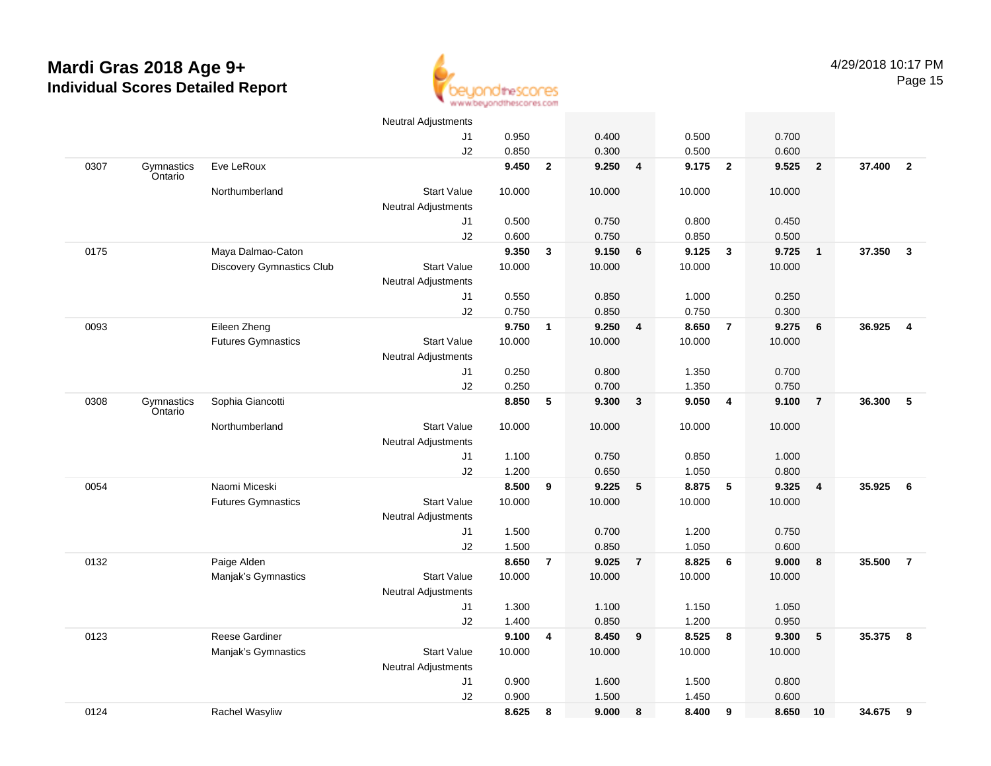

|      |                       |                                  | <b>Neutral Adjustments</b> |        |                         |        |                |        |                         |        |                |        |                         |
|------|-----------------------|----------------------------------|----------------------------|--------|-------------------------|--------|----------------|--------|-------------------------|--------|----------------|--------|-------------------------|
|      |                       |                                  | J1                         | 0.950  |                         | 0.400  |                | 0.500  |                         | 0.700  |                |        |                         |
|      |                       |                                  | J2                         | 0.850  |                         | 0.300  |                | 0.500  |                         | 0.600  |                |        |                         |
| 0307 | Gymnastics<br>Ontario | Eve LeRoux                       |                            | 9.450  | $\overline{2}$          | 9.250  | 4              | 9.175  | $\overline{\mathbf{2}}$ | 9.525  | $\overline{2}$ | 37.400 | $\overline{\mathbf{2}}$ |
|      |                       | Northumberland                   | <b>Start Value</b>         | 10.000 |                         | 10.000 |                | 10.000 |                         | 10.000 |                |        |                         |
|      |                       |                                  | Neutral Adjustments        |        |                         |        |                |        |                         |        |                |        |                         |
|      |                       |                                  | J1                         | 0.500  |                         | 0.750  |                | 0.800  |                         | 0.450  |                |        |                         |
|      |                       |                                  | J2                         | 0.600  |                         | 0.750  |                | 0.850  |                         | 0.500  |                |        |                         |
| 0175 |                       | Maya Dalmao-Caton                |                            | 9.350  | $\overline{\mathbf{3}}$ | 9.150  | 6              | 9.125  | $\overline{\mathbf{3}}$ | 9.725  | $\overline{1}$ | 37.350 | $\mathbf{3}$            |
|      |                       | <b>Discovery Gymnastics Club</b> | <b>Start Value</b>         | 10.000 |                         | 10.000 |                | 10.000 |                         | 10.000 |                |        |                         |
|      |                       |                                  | <b>Neutral Adjustments</b> |        |                         |        |                |        |                         |        |                |        |                         |
|      |                       |                                  | J <sub>1</sub>             | 0.550  |                         | 0.850  |                | 1.000  |                         | 0.250  |                |        |                         |
|      |                       |                                  | J2                         | 0.750  |                         | 0.850  |                | 0.750  |                         | 0.300  |                |        |                         |
| 0093 |                       | Eileen Zheng                     |                            | 9.750  | $\mathbf{1}$            | 9.250  | 4              | 8.650  | $\overline{7}$          | 9.275  | 6              | 36.925 | $\overline{4}$          |
|      |                       | <b>Futures Gymnastics</b>        | <b>Start Value</b>         | 10.000 |                         | 10.000 |                | 10.000 |                         | 10.000 |                |        |                         |
|      |                       |                                  | Neutral Adjustments        |        |                         |        |                |        |                         |        |                |        |                         |
|      |                       |                                  | J1                         | 0.250  |                         | 0.800  |                | 1.350  |                         | 0.700  |                |        |                         |
|      |                       |                                  | J2                         | 0.250  |                         | 0.700  |                | 1.350  |                         | 0.750  |                |        |                         |
| 0308 | Gymnastics<br>Ontario | Sophia Giancotti                 |                            | 8.850  | 5                       | 9.300  | $\mathbf{3}$   | 9.050  | $\overline{4}$          | 9.100  | $\overline{7}$ | 36.300 | 5                       |
|      |                       | Northumberland                   | <b>Start Value</b>         | 10.000 |                         | 10.000 |                | 10.000 |                         | 10.000 |                |        |                         |
|      |                       |                                  | <b>Neutral Adjustments</b> |        |                         |        |                |        |                         |        |                |        |                         |
|      |                       |                                  | J1                         | 1.100  |                         | 0.750  |                | 0.850  |                         | 1.000  |                |        |                         |
|      |                       |                                  | J2                         | 1.200  |                         | 0.650  |                | 1.050  |                         | 0.800  |                |        |                         |
| 0054 |                       | Naomi Miceski                    |                            | 8.500  | 9                       | 9.225  | 5              | 8.875  | 5                       | 9.325  | $\overline{4}$ | 35.925 | 6                       |
|      |                       | <b>Futures Gymnastics</b>        | <b>Start Value</b>         | 10.000 |                         | 10.000 |                | 10.000 |                         | 10.000 |                |        |                         |
|      |                       |                                  | <b>Neutral Adjustments</b> |        |                         |        |                |        |                         |        |                |        |                         |
|      |                       |                                  | J1                         | 1.500  |                         | 0.700  |                | 1.200  |                         | 0.750  |                |        |                         |
|      |                       |                                  | J2                         | 1.500  |                         | 0.850  |                | 1.050  |                         | 0.600  |                |        |                         |
| 0132 |                       | Paige Alden                      |                            | 8.650  | $\overline{7}$          | 9.025  | $\overline{7}$ | 8.825  | 6                       | 9.000  | 8              | 35.500 | $\overline{7}$          |
|      |                       | Manjak's Gymnastics              | <b>Start Value</b>         | 10.000 |                         | 10.000 |                | 10.000 |                         | 10.000 |                |        |                         |
|      |                       |                                  | Neutral Adjustments        |        |                         |        |                |        |                         |        |                |        |                         |
|      |                       |                                  | J1                         | 1.300  |                         | 1.100  |                | 1.150  |                         | 1.050  |                |        |                         |
|      |                       |                                  | J2                         | 1.400  |                         | 0.850  |                | 1.200  |                         | 0.950  |                |        |                         |
| 0123 |                       | <b>Reese Gardiner</b>            |                            | 9.100  | 4                       | 8.450  | 9              | 8.525  | - 8                     | 9.300  | 5              | 35.375 | 8                       |
|      |                       | Manjak's Gymnastics              | <b>Start Value</b>         | 10.000 |                         | 10.000 |                | 10.000 |                         | 10.000 |                |        |                         |
|      |                       |                                  | <b>Neutral Adjustments</b> |        |                         |        |                |        |                         |        |                |        |                         |
|      |                       |                                  | J1                         | 0.900  |                         | 1.600  |                | 1.500  |                         | 0.800  |                |        |                         |
|      |                       |                                  | J2                         | 0.900  |                         | 1.500  |                | 1.450  |                         | 0.600  |                |        |                         |
| 0124 |                       | Rachel Wasyliw                   |                            | 8.625  | 8                       | 9.000  | 8              | 8.400  | 9                       | 8.650  | 10             | 34.675 | 9                       |
|      |                       |                                  |                            |        |                         |        |                |        |                         |        |                |        |                         |